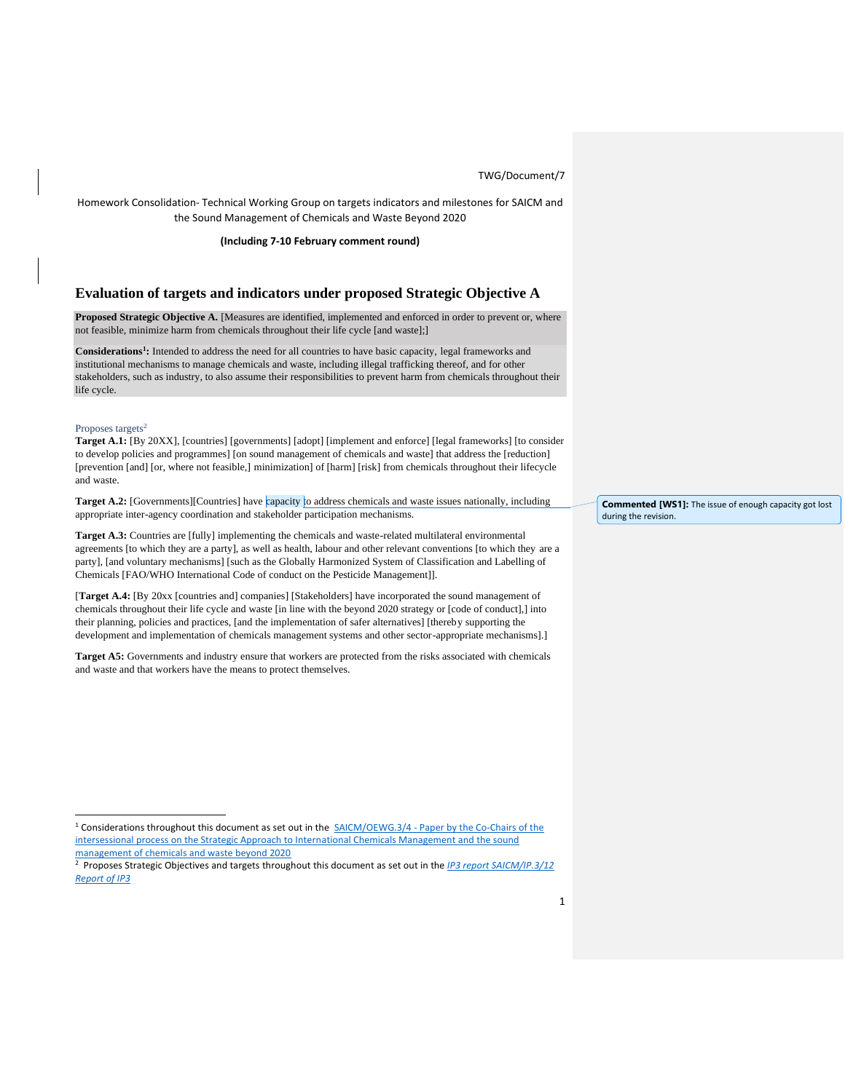Homework Consolidation- Technical Working Group on targets indicators and milestones for SAICM and the Sound Management of Chemicals and Waste Beyond 2020

**(Including 7-10 February comment round)**

## **Evaluation of targets and indicators under proposed Strategic Objective A**

**Proposed Strategic Objective A.** [Measures are identified, implemented and enforced in order to prevent or, where not feasible, minimize harm from chemicals throughout their life cycle [and waste];]

**Considerations<sup>1</sup> :** Intended to address the need for all countries to have basic capacity, legal frameworks and institutional mechanisms to manage chemicals and waste, including illegal trafficking thereof, and for other stakeholders, such as industry, to also assume their responsibilities to prevent harm from chemicals throughout their life cycle.

#### Proposes targets<sup>2</sup>

**Target A.1:** [By 20XX], [countries] [governments] [adopt] [implement and enforce] [legal frameworks] [to consider to develop policies and programmes] [on sound management of chemicals and waste] that address the [reduction] [prevention [and] [or, where not feasible,] minimization] of [harm] [risk] from chemicals throughout their lifecycle and waste.

Target A.2: [Governments][Countries] have capacity to address chemicals and waste issues nationally, including appropriate inter-agency coordination and stakeholder participation mechanisms.

**Target A.3:** Countries are [fully] implementing the chemicals and waste-related multilateral environmental agreements [to which they are a party], as well as health, labour and other relevant conventions [to which they are a party], [and voluntary mechanisms] [such as the Globally Harmonized System of Classification and Labelling of Chemicals [FAO/WHO International Code of conduct on the Pesticide Management]].

[**Target A.4:** [By 20xx [countries and] companies] [Stakeholders] have incorporated the sound management of chemicals throughout their life cycle and waste [in line with the beyond 2020 strategy or [code of conduct],] into their planning, policies and practices, [and the implementation of safer alternatives] [thereby supporting the development and implementation of chemicals management systems and other sector-appropriate mechanisms].]

**Target A5:** Governments and industry ensure that workers are protected from the risks associated with chemicals and waste and that workers have the means to protect themselves.

**Commented [WS1]:** The issue of enough capacity got lost during the revision.

<sup>&</sup>lt;sup>1</sup> Considerations throughout this document as set out in the  $SAICM/OEWG.3/4$  - Paper by the Co-Chairs of the [intersessional process on the Strategic Approach to International Chemicals Management and the sound](http://www.saicm.org/Portals/12/Documents/meetings/OEWG3/doc/OEWG3-4_e.pdf)  [management of chemicals and waste beyond 2020](http://www.saicm.org/Portals/12/Documents/meetings/OEWG3/doc/OEWG3-4_e.pdf)

<sup>2</sup> Proposes Strategic Objectives and targets throughout this document as set out in the *[IP3 report SAICM/IP.3/12](http://www.saicm.org/Portals/12/documents/meetings/IP3/Docs/SAICM_IP3_12_Meeting_Report.pdf)  [Report of IP3](http://www.saicm.org/Portals/12/documents/meetings/IP3/Docs/SAICM_IP3_12_Meeting_Report.pdf)*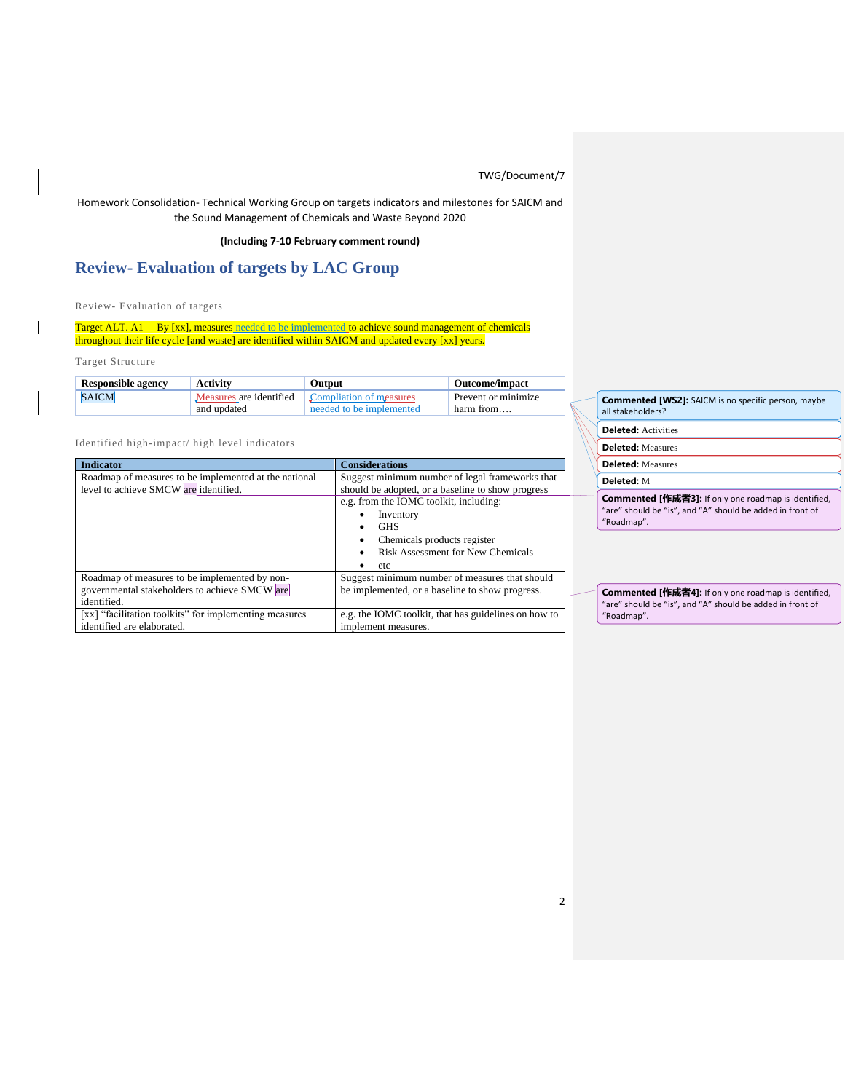## Homework Consolidation- Technical Working Group on targets indicators and milestones for SAICM and the Sound Management of Chemicals and Waste Beyond 2020

## **(Including 7-10 February comment round)**

# **Review- Evaluation of targets by LAC Group**

Review- Evaluation of targets

Target ALT. A1 – By [xx], measures needed to be implemented to achieve sound management of chemicals throughout their life cycle [and waste] are identified within SAICM and updated every [xx] years.

Target Structure

| <b>Responsible agency</b> | Activity                | Output                                  | <b>Outcome/impact</b> |         |
|---------------------------|-------------------------|-----------------------------------------|-----------------------|---------|
| <b>SAICM</b>              | Measures are identified | $\Gamma$ Compliation of measures        | Prevent or minimize   | Com     |
|                           | and updated             | a to be implemented.<br>needed <b>b</b> | harm from             | all sta |

Identified high-impact/ high level indicators

| <b>Indicator</b>                                       | <b>Considerations</b>                                |  |
|--------------------------------------------------------|------------------------------------------------------|--|
| Roadmap of measures to be implemented at the national  | Suggest minimum number of legal frameworks that      |  |
| level to achieve SMCW are identified.                  | should be adopted, or a baseline to show progress    |  |
|                                                        | e.g. from the IOMC toolkit, including:               |  |
|                                                        | Inventory<br>٠                                       |  |
|                                                        | <b>GHS</b>                                           |  |
|                                                        | Chemicals products register                          |  |
|                                                        | Risk Assessment for New Chemicals                    |  |
|                                                        | etc                                                  |  |
| Roadmap of measures to be implemented by non-          | Suggest minimum number of measures that should       |  |
| governmental stakeholders to achieve SMCW are          | be implemented, or a baseline to show progress.      |  |
| identified.                                            |                                                      |  |
| [xx] "facilitation toolkits" for implementing measures | e.g. the IOMC toolkit, that has guidelines on how to |  |
| identified are elaborated.                             | implement measures.                                  |  |

**Commented [WS2]:** SAICM is no specific person, maybe akeholders?

**Deleted:** Activities

**Deleted:** Measures

**Deleted:** Measures

**Deleted:** M

**Commented [作成者3]:** If only one roadmap is identified, "are" should be "is", and "A" should be added in front of "Roadmap".

**Commented [作成者4]:** If only one roadmap is identified, "are" should be "is", and "A" should be added in front of "Roadmap".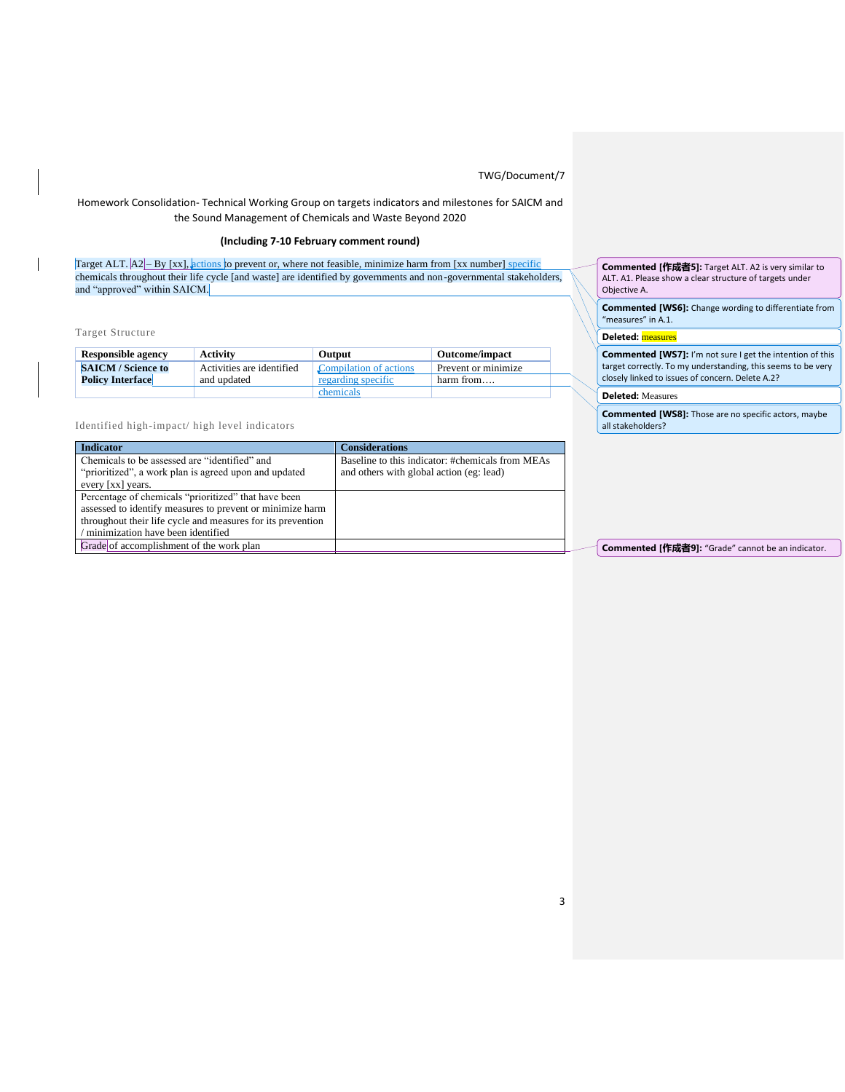## Homework Consolidation- Technical Working Group on targets indicators and milestones for SAICM and the Sound Management of Chemicals and Waste Beyond 2020

# **(Including 7-10 February comment round)**

Target ALT.  $A2$  – By [xx], actions to prevent or, where not feasible, minimize harm from [xx number] specific chemicals throughout their life cycle [and waste] are identified by governments and non-governmental stakeholders, and "approved" within SAICM.

## Target Structure

| <b>Responsible agency</b> | <b>Activity</b>           | <b>Output</b>          | <b>Outcome/impact</b> |
|---------------------------|---------------------------|------------------------|-----------------------|
| <b>SAICM / Science to</b> | Activities are identified | Compilation of actions | Prevent or minimize   |
| <b>Policy Interface</b>   | and updated               | regarding specific     | harm from             |
|                           |                           | chemicals              |                       |

### Identified high-impact/ high level indicators

| <b>Indicator</b>                                            | <b>Considerations</b>                            |
|-------------------------------------------------------------|--------------------------------------------------|
| Chemicals to be assessed are "identified" and               | Baseline to this indicator: #chemicals from MEAs |
| "prioritized", a work plan is agreed upon and updated       | and others with global action (eg: lead)         |
| every [xx] years.                                           |                                                  |
| Percentage of chemicals "prioritized" that have been        |                                                  |
| assessed to identify measures to prevent or minimize harm   |                                                  |
| throughout their life cycle and measures for its prevention |                                                  |
| minimization have been identified                           |                                                  |
| Grade of accomplishment of the work plan                    |                                                  |
|                                                             |                                                  |

**Commented [作成者5]:** Target ALT. A2 is very similar to ALT. A1. Please show a clear structure of targets under Objective A.

**Commented [WS6]:** Change wording to differentiate from "measures" in A.1.

#### **Deleted:** measures

**Commented [WS7]:** I'm not sure I get the intention of this target correctly. To my understanding, this seems to be very closely linked to issues of concern. Delete A.2?

### **Deleted:** Measures

**Commented [WS8]:** Those are no specific actors, maybe all stakeholders?

**Commented [作成者9]:** "Grade" cannot be an indicator.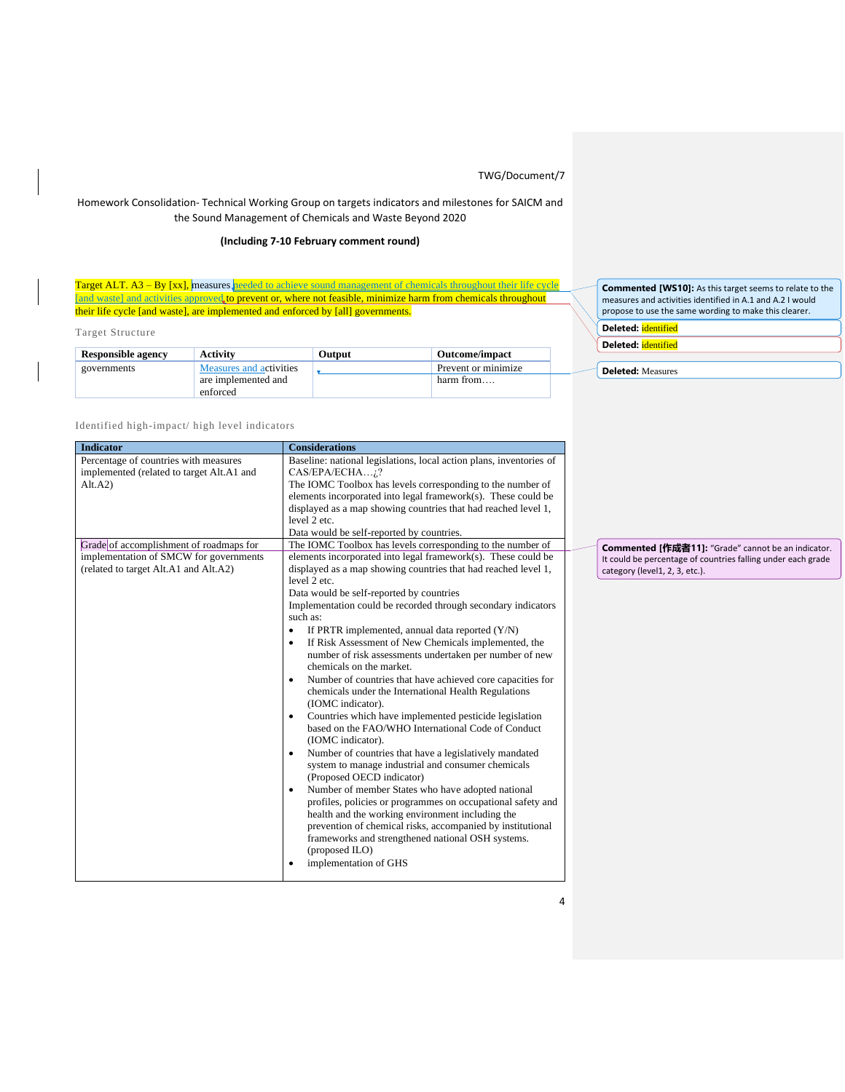## Homework Consolidation- Technical Working Group on targets indicators and milestones for SAICM and the Sound Management of Chemicals and Waste Beyond 2020

## **(Including 7-10 February comment round)**

Target ALT. A3 – By [xx], measures needed to achieve sound management of chemicals throughout their life cycle [and waste] and activities approved to prevent or, where not feasible, minimize harm from chemicals throughout their life cycle [and waste], are implemented and enforced by [all] governments.

Target Structure

| <b>Responsible agency</b> | <b>Activity</b>         | Output | <b>Outcome/impact</b> |
|---------------------------|-------------------------|--------|-----------------------|
| governments               | Measures and activities |        | Prevent or minimize   |
|                           | are implemented and     |        | harm from             |
|                           | enforced                |        |                       |

**Commented [WS10]:** As this target seems to relate to the measures and activities identified in A.1 and A.2 I would propose to use the same wording to make this clearer.

**Deleted:** identified

**Deleted:** identified

**Deleted:** Measures

## Identified high-impact/ high level indicators

| <b>Indicator</b>                          | <b>Considerations</b>                                                   |  |  |  |
|-------------------------------------------|-------------------------------------------------------------------------|--|--|--|
| Percentage of countries with measures     | Baseline: national legislations, local action plans, inventories of     |  |  |  |
| implemented (related to target Alt.A1 and | CAS/EPA/ECHA;?                                                          |  |  |  |
| Alt.A2)                                   | The IOMC Toolbox has levels corresponding to the number of              |  |  |  |
|                                           | elements incorporated into legal framework(s). These could be           |  |  |  |
|                                           | displayed as a map showing countries that had reached level 1,          |  |  |  |
|                                           | level 2 etc.                                                            |  |  |  |
|                                           | Data would be self-reported by countries.                               |  |  |  |
| Grade of accomplishment of roadmaps for   | The IOMC Toolbox has levels corresponding to the number of              |  |  |  |
| implementation of SMCW for governments    | elements incorporated into legal framework(s). These could be           |  |  |  |
| (related to target Alt.A1 and Alt.A2)     | displayed as a map showing countries that had reached level 1,          |  |  |  |
|                                           | level 2 etc.                                                            |  |  |  |
|                                           | Data would be self-reported by countries                                |  |  |  |
|                                           | Implementation could be recorded through secondary indicators           |  |  |  |
|                                           | such as:                                                                |  |  |  |
|                                           | If PRTR implemented, annual data reported (Y/N)<br>$\bullet$            |  |  |  |
|                                           | If Risk Assessment of New Chemicals implemented, the<br>$\bullet$       |  |  |  |
|                                           | number of risk assessments undertaken per number of new                 |  |  |  |
|                                           | chemicals on the market.                                                |  |  |  |
|                                           | Number of countries that have achieved core capacities for<br>$\bullet$ |  |  |  |
|                                           | chemicals under the International Health Regulations                    |  |  |  |
|                                           | (IOMC indicator).                                                       |  |  |  |
|                                           | Countries which have implemented pesticide legislation<br>$\bullet$     |  |  |  |
|                                           | based on the FAO/WHO International Code of Conduct                      |  |  |  |
|                                           | (IOMC indicator).                                                       |  |  |  |
|                                           | Number of countries that have a legislatively mandated<br>$\bullet$     |  |  |  |
|                                           | system to manage industrial and consumer chemicals                      |  |  |  |
|                                           | (Proposed OECD indicator)                                               |  |  |  |
|                                           | Number of member States who have adopted national<br>$\bullet$          |  |  |  |
|                                           | profiles, policies or programmes on occupational safety and             |  |  |  |
|                                           | health and the working environment including the                        |  |  |  |
|                                           | prevention of chemical risks, accompanied by institutional              |  |  |  |
|                                           | frameworks and strengthened national OSH systems.                       |  |  |  |
|                                           | (proposed ILO)                                                          |  |  |  |
|                                           | implementation of GHS<br>٠                                              |  |  |  |
|                                           |                                                                         |  |  |  |

**Commented [作成者11]:** "Grade" cannot be an indicator. It could be percentage of countries falling under each grade category (level1, 2, 3, etc.).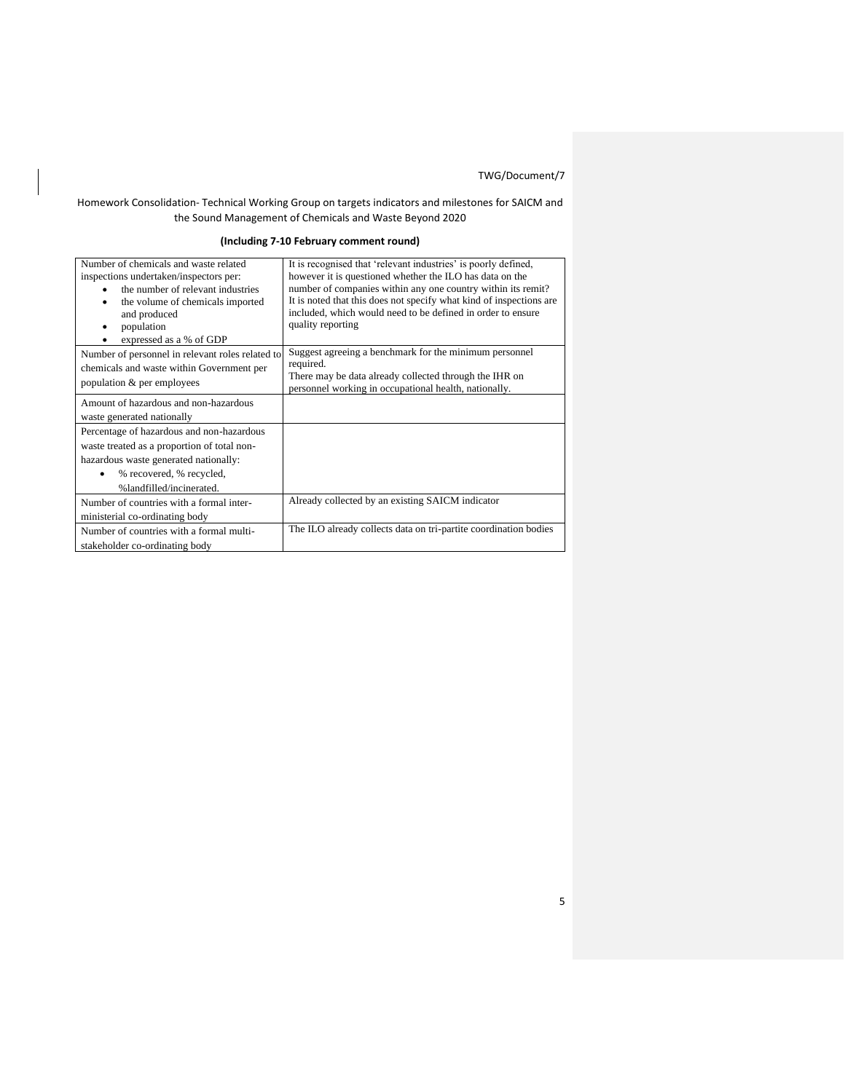## Homework Consolidation- Technical Working Group on targets indicators and milestones for SAICM and the Sound Management of Chemicals and Waste Beyond 2020

## **(Including 7-10 February comment round)**

| Number of chemicals and waste related<br>inspections undertaken/inspectors per: | It is recognised that 'relevant industries' is poorly defined,<br>however it is questioned whether the ILO has data on the |
|---------------------------------------------------------------------------------|----------------------------------------------------------------------------------------------------------------------------|
| the number of relevant industries                                               | number of companies within any one country within its remit?                                                               |
| the volume of chemicals imported                                                | It is noted that this does not specify what kind of inspections are                                                        |
| and produced                                                                    | included, which would need to be defined in order to ensure                                                                |
| population                                                                      | quality reporting                                                                                                          |
| expressed as a % of GDP                                                         |                                                                                                                            |
| Number of personnel in relevant roles related to                                | Suggest agreeing a benchmark for the minimum personnel                                                                     |
| chemicals and waste within Government per                                       | required.                                                                                                                  |
| population & per employees                                                      | There may be data already collected through the IHR on<br>personnel working in occupational health, nationally.            |
| Amount of hazardous and non-hazardous                                           |                                                                                                                            |
| waste generated nationally                                                      |                                                                                                                            |
|                                                                                 |                                                                                                                            |
| Percentage of hazardous and non-hazardous                                       |                                                                                                                            |
| waste treated as a proportion of total non-                                     |                                                                                                                            |
| hazardous waste generated nationally:                                           |                                                                                                                            |
| % recovered, % recycled,                                                        |                                                                                                                            |
| %landfilled/incinerated.                                                        |                                                                                                                            |
| Number of countries with a formal inter-                                        | Already collected by an existing SAICM indicator                                                                           |
| ministerial co-ordinating body                                                  |                                                                                                                            |
| Number of countries with a formal multi-                                        | The ILO already collects data on tri-partite coordination bodies                                                           |
| stakeholder co-ordinating body                                                  |                                                                                                                            |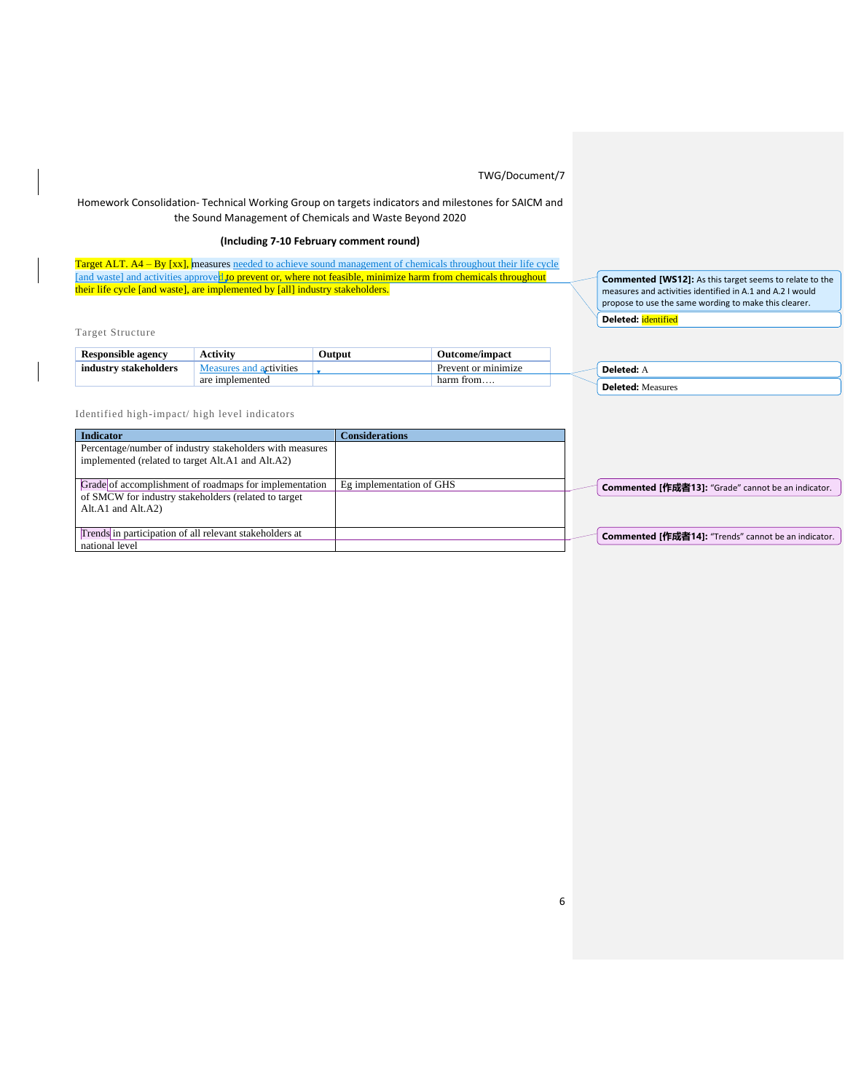## Homework Consolidation- Technical Working Group on targets indicators and milestones for SAICM and the Sound Management of Chemicals and Waste Beyond 2020

## **(Including 7-10 February comment round)**

Target ALT. A4 – By [xx], measures needed to achieve sound management of chemicals throughout their life cycle [and waste] and activities approved to prevent or, where not feasible, minimize harm from chemicals throughout their life cycle [and waste], are implemented by [all] industry stakeholders.

Target Structure

| <b>Responsible agency</b> | Activity                | <b>Output</b> | Outcome/impact      |
|---------------------------|-------------------------|---------------|---------------------|
| industry stakeholders     | Measures and activities |               | Prevent or minimize |
|                           | are implemented         |               | harm from           |

**Commented [WS12]:** As this target seems to relate to the measures and activities identified in A.1 and A.2 I would propose to use the same wording to make this clearer. **Deleted:** identified

**Deleted:** A **Deleted:** Measures

Identified high-impact/ high level indicators

| <b>Indicator</b>                                         | <b>Considerations</b>    |  |                                                            |
|----------------------------------------------------------|--------------------------|--|------------------------------------------------------------|
| Percentage/number of industry stakeholders with measures |                          |  |                                                            |
| implemented (related to target Alt.A1 and Alt.A2)        |                          |  |                                                            |
|                                                          |                          |  |                                                            |
| Grade of accomplishment of roadmaps for implementation   | Eg implementation of GHS |  | <b>Commented [作成者13]:</b> "Grade" cannot be an indicator.  |
| of SMCW for industry stakeholders (related to target     |                          |  |                                                            |
| Alt.A1 and Alt.A2)                                       |                          |  |                                                            |
|                                                          |                          |  |                                                            |
| Trends in participation of all relevant stakeholders at  |                          |  | <b>Commented [作成者14]:</b> "Trends" cannot be an indicator. |
| national level                                           |                          |  |                                                            |

6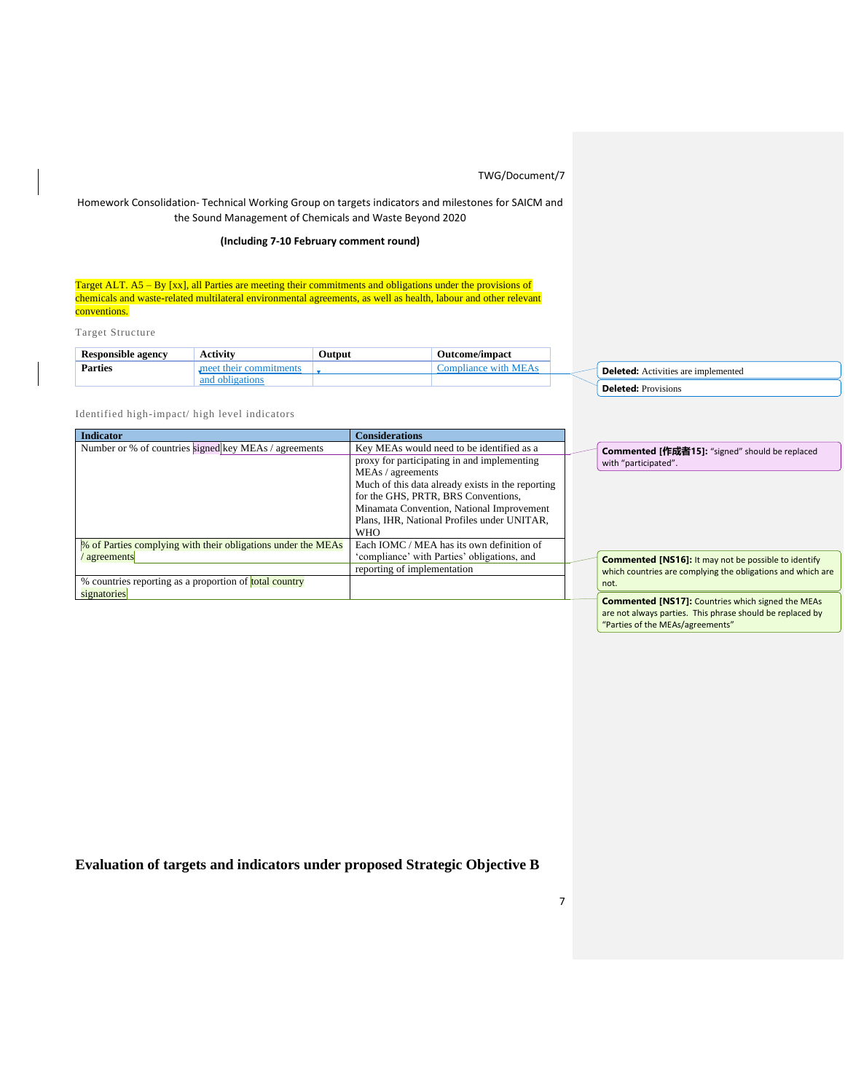## Homework Consolidation- Technical Working Group on targets indicators and milestones for SAICM and the Sound Management of Chemicals and Waste Beyond 2020

## **(Including 7-10 February comment round)**

Target ALT. A5 – By [xx], all Parties are meeting their commitments and obligations under the provisions of chemicals and waste-related multilateral environmental agreements, as well as health, labour and other relevant conventions.

Target Structure

| <b>Responsible agency</b> | $\sim$ of initerations.<br>лсити | Output | <b>Outcome/impact</b> |  |                                                    |
|---------------------------|----------------------------------|--------|-----------------------|--|----------------------------------------------------|
| <b>Parties</b>            |                                  |        |                       |  | Deleted <sup>.</sup><br>Activities are implemented |
|                           |                                  |        |                       |  | ומנ<br><b>Provisions</b>                           |

Identified high-impact/ high level indicators

| <b>Indicator</b>                                              | <b>Considerations</b>                             |                                                             |
|---------------------------------------------------------------|---------------------------------------------------|-------------------------------------------------------------|
| Number or % of countries signed key MEAs / agreements         | Key MEAs would need to be identified as a         | <b>Commented [作成者15]:</b> "signed" should be replaced       |
|                                                               | proxy for participating in and implementing       | with "participated".                                        |
|                                                               | MEAs / agreements                                 |                                                             |
|                                                               | Much of this data already exists in the reporting |                                                             |
|                                                               | for the GHS, PRTR, BRS Conventions,               |                                                             |
|                                                               | Minamata Convention, National Improvement         |                                                             |
|                                                               | Plans, IHR, National Profiles under UNITAR,       |                                                             |
|                                                               | <b>WHO</b>                                        |                                                             |
| % of Parties complying with their obligations under the MEAs  | Each IOMC / MEA has its own definition of         |                                                             |
| agreements                                                    | 'compliance' with Parties' obligations, and       | <b>Commented [NS16]:</b> It may not be possible to identify |
|                                                               | reporting of implementation                       | which countries are complying the obligations and which are |
| % countries reporting as a proportion of <b>total country</b> |                                                   | not.                                                        |
| signatories                                                   |                                                   | <b>Commented [NS17]:</b> Countries which signed the MEAs    |
|                                                               |                                                   |                                                             |

7

are not always parties. This phrase should be replaced by "Parties of the MEAs/agreements"

**Evaluation of targets and indicators under proposed Strategic Objective B**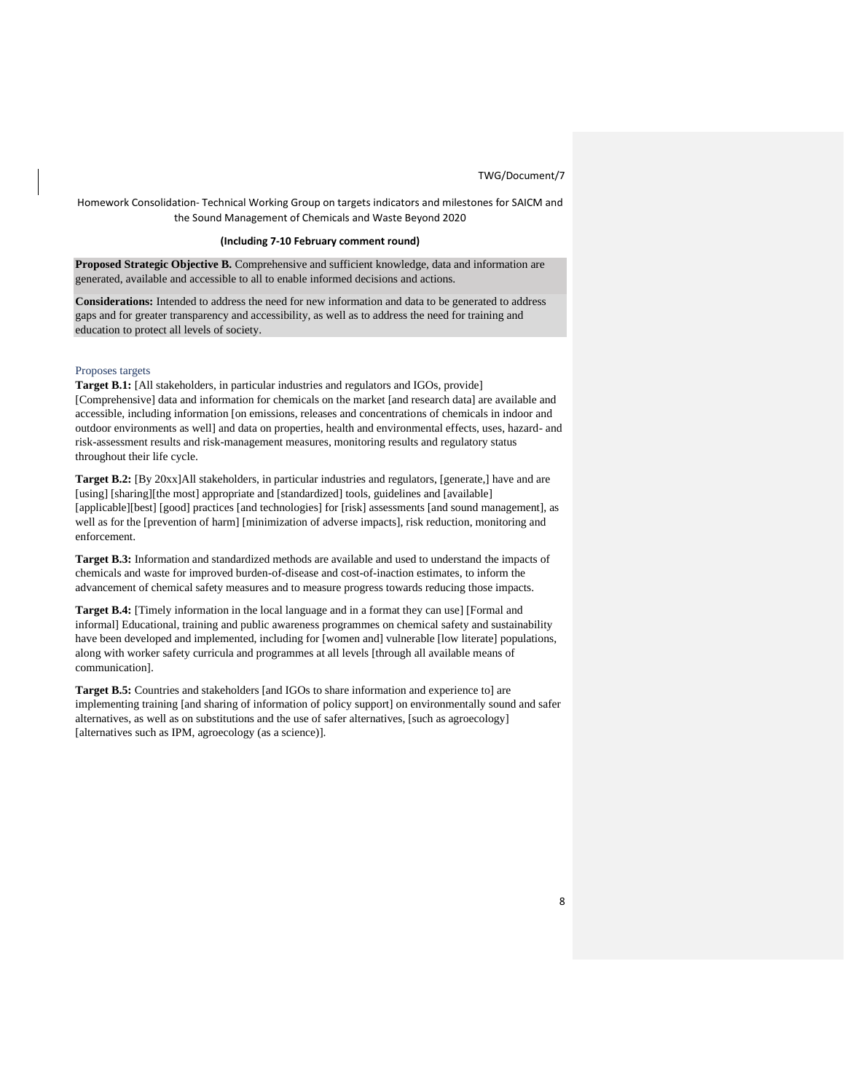Homework Consolidation- Technical Working Group on targets indicators and milestones for SAICM and the Sound Management of Chemicals and Waste Beyond 2020

### **(Including 7-10 February comment round)**

**Proposed Strategic Objective B.** Comprehensive and sufficient knowledge, data and information are generated, available and accessible to all to enable informed decisions and actions.

**Considerations:** Intended to address the need for new information and data to be generated to address gaps and for greater transparency and accessibility, as well as to address the need for training and education to protect all levels of society.

### Proposes targets

**Target B.1:** [All stakeholders, in particular industries and regulators and IGOs, provide] [Comprehensive] data and information for chemicals on the market [and research data] are available and accessible, including information [on emissions, releases and concentrations of chemicals in indoor and outdoor environments as well] and data on properties, health and environmental effects, uses, hazard- and risk-assessment results and risk-management measures, monitoring results and regulatory status throughout their life cycle.

**Target B.2:** [By 20xx]All stakeholders, in particular industries and regulators, [generate,] have and are [using] [sharing][the most] appropriate and [standardized] tools, guidelines and [available] [applicable][best] [good] practices [and technologies] for [risk] assessments [and sound management], as well as for the [prevention of harm] [minimization of adverse impacts], risk reduction, monitoring and enforcement.

**Target B.3:** Information and standardized methods are available and used to understand the impacts of chemicals and waste for improved burden-of-disease and cost-of-inaction estimates, to inform the advancement of chemical safety measures and to measure progress towards reducing those impacts.

**Target B.4:** [Timely information in the local language and in a format they can use] [Formal and informal] Educational, training and public awareness programmes on chemical safety and sustainability have been developed and implemented, including for [women and] vulnerable [low literate] populations, along with worker safety curricula and programmes at all levels [through all available means of communication].

**Target B.5:** Countries and stakeholders [and IGOs to share information and experience to] are implementing training [and sharing of information of policy support] on environmentally sound and safer alternatives, as well as on substitutions and the use of safer alternatives, [such as agroecology] [alternatives such as IPM, agroecology (as a science)].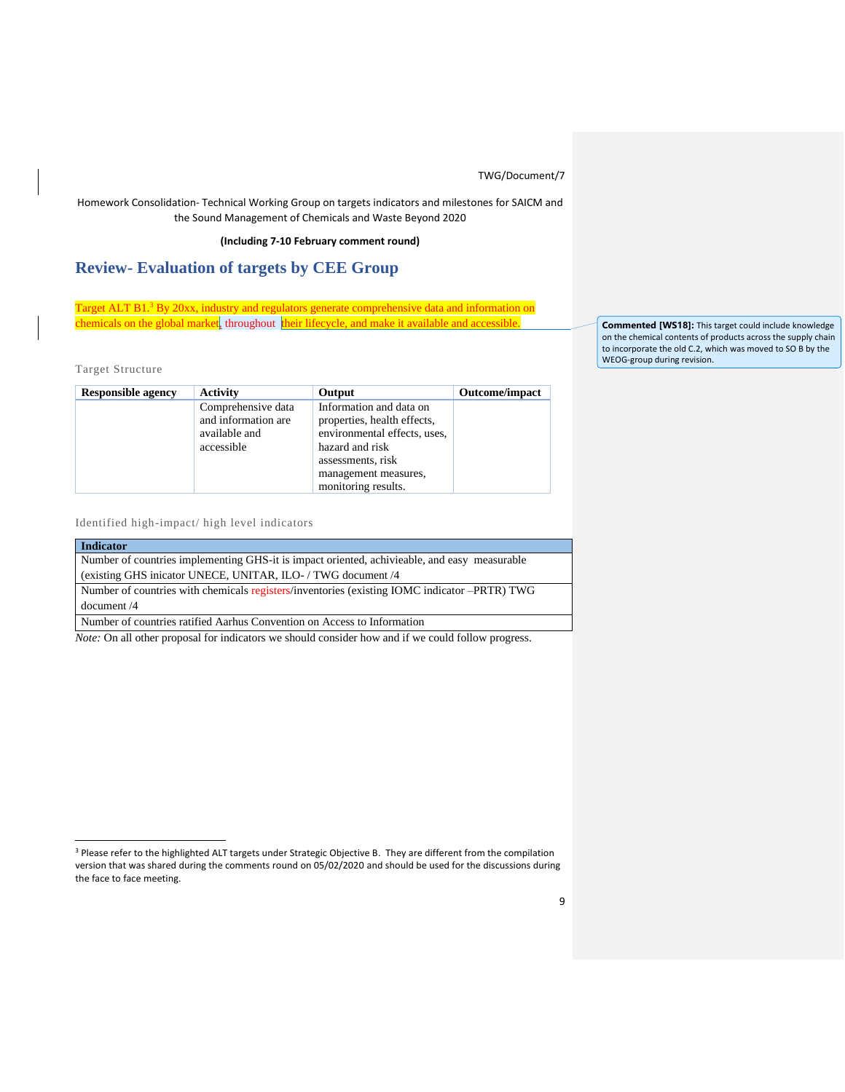Homework Consolidation- Technical Working Group on targets indicators and milestones for SAICM and the Sound Management of Chemicals and Waste Beyond 2020

**(Including 7-10 February comment round)**

# **Review- Evaluation of targets by CEE Group**

Target ALT B1.<sup>3</sup> By 20xx, industry and regulators generate comprehensive data and information on chemicals on the global market, throughout their lifecycle, and make it available and accessible.

Target Structure

| <b>Responsible agency</b> | <b>Activity</b>     | Output                       | <b>Outcome/impact</b> |
|---------------------------|---------------------|------------------------------|-----------------------|
|                           | Comprehensive data  | Information and data on      |                       |
|                           | and information are | properties, health effects,  |                       |
|                           | available and       | environmental effects, uses, |                       |
|                           | accessible          | hazard and risk              |                       |
|                           |                     | assessments, risk            |                       |
|                           |                     | management measures,         |                       |
|                           |                     | monitoring results.          |                       |

Identified high-impact/ high level indicators

| <b>Indicator</b>                                                                             |
|----------------------------------------------------------------------------------------------|
| Number of countries implementing GHS-it is impact oriented, achivicable, and easy measurable |
| (existing GHS inicator UNECE, UNITAR, ILO- / TWG document /4                                 |
| Number of countries with chemicals registers/inventories (existing IOMC indicator –PRTR) TWG |
| document/4                                                                                   |
| Number of countries ratified Aarhus Convention on Access to Information                      |

*Note:* On all other proposal for indicators we should consider how and if we could follow progress.

**Commented [WS18]:** This target could include knowledge on the chemical contents of products across the supply chain to incorporate the old C.2, which was moved to SO B by the WEOG-group during revision.

<sup>&</sup>lt;sup>3</sup> Please refer to the highlighted ALT targets under Strategic Objective B. They are different from the compilation version that was shared during the comments round on 05/02/2020 and should be used for the discussions during the face to face meeting.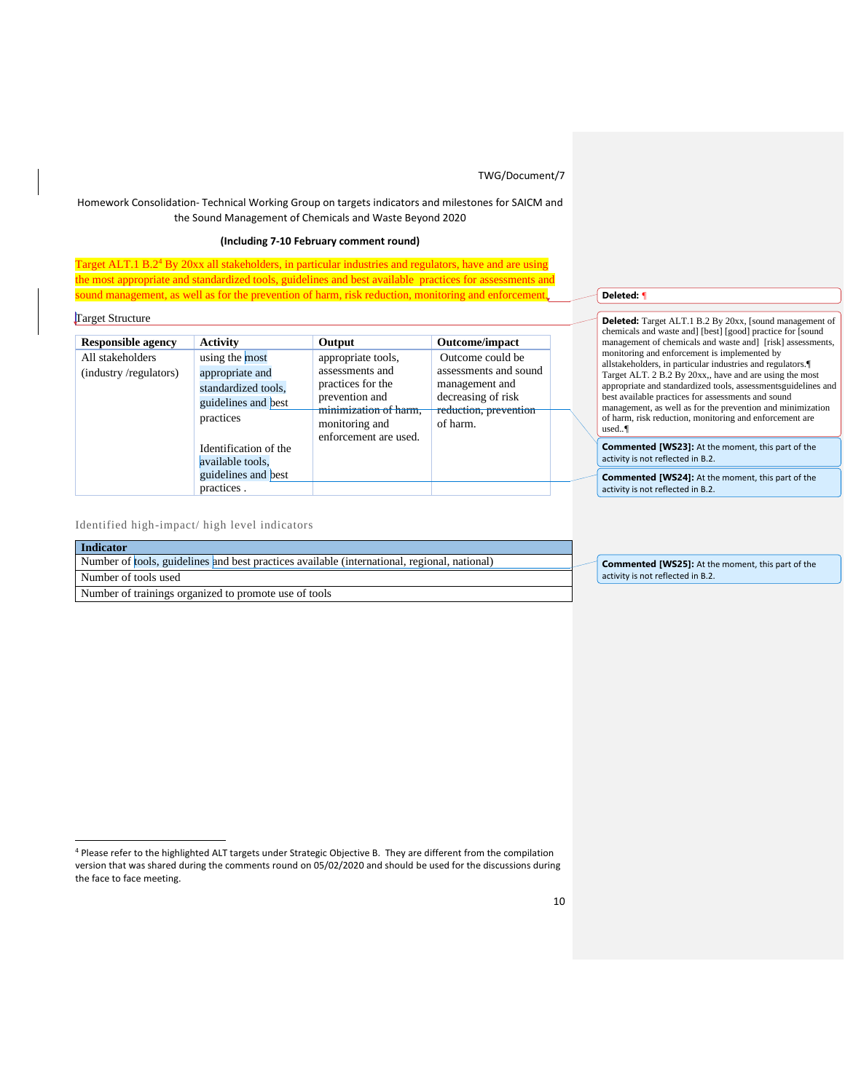### Homework Consolidation- Technical Working Group on targets indicators and milestones for SAICM and the Sound Management of Chemicals and Waste Beyond 2020

### **(Including 7-10 February comment round)**

Target ALT.1 B.2<sup>4</sup> By 20xx all stakeholders, in particular industries and regulators, have and are using the most appropriate and standardized tools, guidelines and best available practices for assessments and sound management, as well as for the prevention of harm, risk reduction, monitoring and enforcement*.*

Target Structure

| <b>Responsible agency</b>                 | Activity                                                                                                              | Output                                                                                                                                           | Outcome/impact                                                                                                         |
|-------------------------------------------|-----------------------------------------------------------------------------------------------------------------------|--------------------------------------------------------------------------------------------------------------------------------------------------|------------------------------------------------------------------------------------------------------------------------|
| All stakeholders<br>(industry/regulators) | using the most<br>appropriate and<br>standardized tools,<br>guidelines and best<br>practices<br>Identification of the | appropriate tools,<br>assessments and<br>practices for the<br>prevention and<br>minimization of harm,<br>monitoring and<br>enforcement are used. | Outcome could be<br>assessments and sound<br>management and<br>decreasing of risk<br>reduction, prevention<br>of harm. |
|                                           | available tools.<br>guidelines and best<br>practices.                                                                 |                                                                                                                                                  |                                                                                                                        |

## **Deleted:** *¶*

**Deleted:** Target ALT.1 B.2 By 20xx, [sound management of chemicals and waste and] [best] [good] practice for [sound management of chemicals and waste and] [risk] assessments, monitoring and enforcement is implemented by allstakeholders, in particular industries and regulators.¶ Target ALT. 2 B.2 By 20xx,, have and are using the most appropriate and standardized tools, assessmentsguidelines and best available practices for assessments and sound management, as well as for the prevention and minimization of harm, risk reduction, monitoring and enforcement are used.*.¶*

**Commented [WS23]:** At the moment, this part of the activity is not reflected in B.2.

**Commented [WS24]:** At the moment, this part of the activity is not reflected in B.2.

Identified high-impact/ high level indicators

| <b>Indicator</b>                                                                             |      |
|----------------------------------------------------------------------------------------------|------|
| Number of tools, guidelines and best practices available (international, regional, national) | Cor  |
| Number of tools used                                                                         | acti |
| Number of trainings organized to promote use of tools                                        |      |

**nmented [WS25]:** At the moment, this part of the vity is not reflected in B.2.

<sup>4</sup> Please refer to the highlighted ALT targets under Strategic Objective B. They are different from the compilation version that was shared during the comments round on 05/02/2020 and should be used for the discussions during the face to face meeting.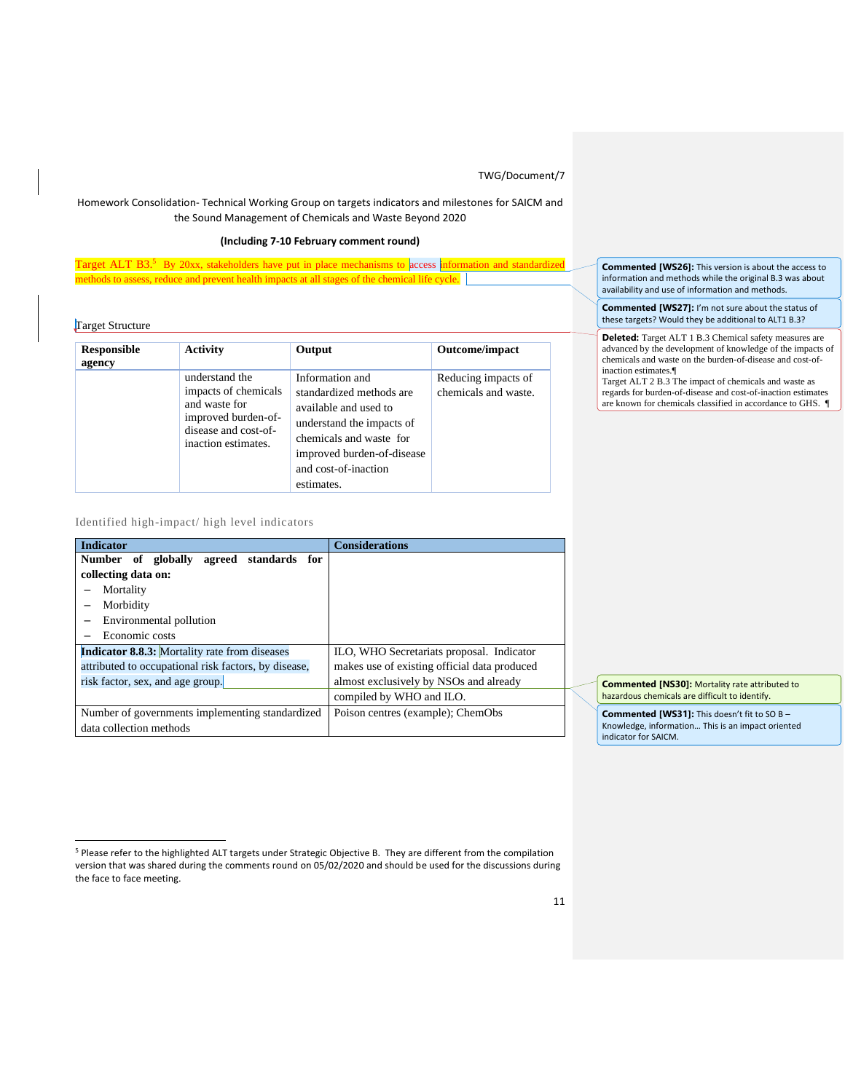## Homework Consolidation- Technical Working Group on targets indicators and milestones for SAICM and the Sound Management of Chemicals and Waste Beyond 2020

## **(Including 7-10 February comment round)**

Target ALT B3.<sup>5</sup> By 20xx, stakeholders have put in place mechanisms to access information and standardized methods to assess, reduce and prevent health impacts at all stages of the chemical life cycle.

Target Structure

| Responsible<br>agency | <b>Activity</b>                                                                                                               | Output                                                                                                                                                                                           | Outcome/impact                              |
|-----------------------|-------------------------------------------------------------------------------------------------------------------------------|--------------------------------------------------------------------------------------------------------------------------------------------------------------------------------------------------|---------------------------------------------|
|                       | understand the<br>impacts of chemicals<br>and waste for<br>improved burden-of-<br>disease and cost-of-<br>inaction estimates. | Information and<br>standardized methods are<br>available and used to<br>understand the impacts of<br>chemicals and waste for<br>improved burden-of-disease<br>and cost-of-inaction<br>estimates. | Reducing impacts of<br>chemicals and waste. |

Identified high-impact/ high level indicators

| <b>Indicator</b>                                     | <b>Considerations</b>                        |
|------------------------------------------------------|----------------------------------------------|
| Number<br>of globally<br>agreed<br>standards<br>for  |                                              |
| collecting data on:                                  |                                              |
| Mortality                                            |                                              |
| Morbidity                                            |                                              |
| Environmental pollution                              |                                              |
| Economic costs                                       |                                              |
| <b>Indicator 8.8.3:</b> Mortality rate from diseases | ILO, WHO Secretariats proposal. Indicator    |
| attributed to occupational risk factors, by disease, | makes use of existing official data produced |
| risk factor, sex, and age group.                     | almost exclusively by NSOs and already       |
|                                                      | compiled by WHO and ILO.                     |
| Number of governments implementing standardized      | Poison centres (example); ChemObs            |
| data collection methods                              |                                              |

**Commented [WS26]:** This version is about the access to information and methods while the original B.3 was about availability and use of information and methods.

**Commented [WS27]:** I'm not sure about the status of these targets? Would they be additional to ALT1 B.3?

**Deleted:** Target ALT 1 B.3 Chemical safety measures are advanced by the development of knowledge of the impacts of chemicals and waste on the burden-of-disease and cost-ofinaction estimates.¶

Target ALT 2 B.3 The impact of chemicals and waste as regards for burden-of-disease and cost-of-inaction estimates are known for chemicals classified in accordance to GHS. ¶

**Commented [NS30]:** Mortality rate attributed to hazardous chemicals are difficult to identify.

**Commented [WS31]:** This doesn't fit to SO B – Knowledge, information… This is an impact oriented indicator for SAICM.

<sup>5</sup> Please refer to the highlighted ALT targets under Strategic Objective B. They are different from the compilation version that was shared during the comments round on 05/02/2020 and should be used for the discussions during the face to face meeting.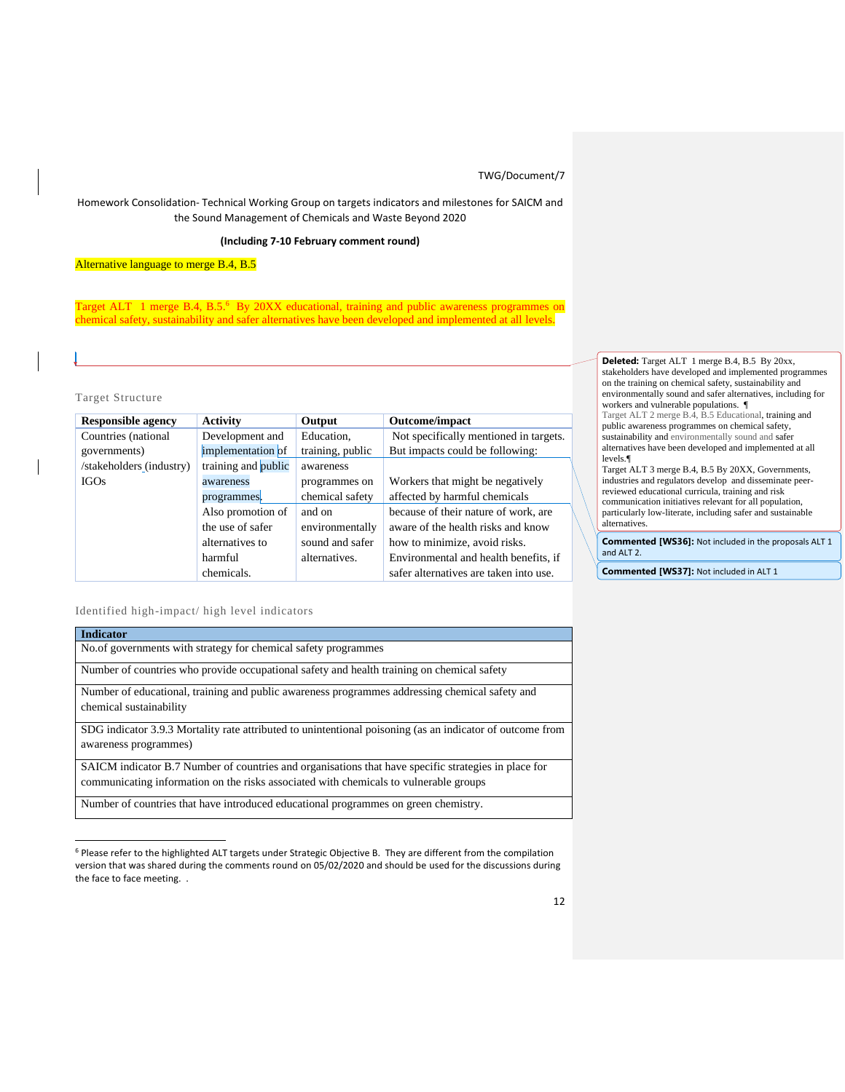Homework Consolidation- Technical Working Group on targets indicators and milestones for SAICM and the Sound Management of Chemicals and Waste Beyond 2020

### **(Including 7-10 February comment round)**

Alternative language to merge B.4, B.5

Target ALT 1 merge B.4, B.5.<sup>6</sup> By 20XX educational, training and public awareness programmes on chemical safety, sustainability and safer alternatives have been developed and implemented at all levels.

### Target Structure

| <b>Responsible agency</b> | <b>Activity</b>     | Output           | <b>Outcome/impact</b>                  |
|---------------------------|---------------------|------------------|----------------------------------------|
| Countries (national       | Development and     | Education,       | Not specifically mentioned in targets. |
| governments)              | implementation of   | training, public | But impacts could be following:        |
| /stakeholders (industry)  | training and public | awareness        |                                        |
| <b>IGOs</b>               | awareness           | programmes on    | Workers that might be negatively       |
|                           | programmes.         | chemical safety  | affected by harmful chemicals          |
|                           | Also promotion of   | and on           | because of their nature of work, are   |
|                           | the use of safer    | environmentally  | aware of the health risks and know     |
|                           | alternatives to     | sound and safer  | how to minimize, avoid risks.          |
|                           | harmful             | alternatives.    | Environmental and health benefits, if  |
|                           | chemicals.          |                  | safer alternatives are taken into use. |

Identified high-impact/ high level indicators

| <b>Indicator</b>                                                                                                                                                                              |
|-----------------------------------------------------------------------------------------------------------------------------------------------------------------------------------------------|
| No.of governments with strategy for chemical safety programmes                                                                                                                                |
| Number of countries who provide occupational safety and health training on chemical safety                                                                                                    |
| Number of educational, training and public awareness programmes addressing chemical safety and<br>chemical sustainability                                                                     |
| SDG indicator 3.9.3 Mortality rate attributed to unintentional poisoning (as an indicator of outcome from<br>awareness programmes)                                                            |
| SAICM indicator B.7 Number of countries and organisations that have specific strategies in place for<br>communicating information on the risks associated with chemicals to vulnerable groups |

Number of countries that have introduced educational programmes on green chemistry.

**Deleted:** Target ALT 1 merge B.4, B.5 By 20xx, stakeholders have developed and implemented programmes on the training on chemical safety, sustainability and environmentally sound and safer alternatives, including for workers and vulnerable populations. ¶ Target ALT 2 merge B.4, B.5 Educational, training and

public awareness programmes on chemical safety, sustainability and environmentally sound and safer alternatives have been developed and implemented at all levels.¶

Target ALT 3 merge B.4, B.5 By 20XX, Governments, industries and regulators develop and disseminate peerreviewed educational curricula, training and risk communication initiatives relevant for all population, particularly low-literate, including safer and sustainable **alternatives** 

**Commented [WS36]:** Not included in the proposals ALT 1 and ALT 2.

**Commented [WS37]:** Not included in ALT 1

<sup>6</sup> Please refer to the highlighted ALT targets under Strategic Objective B. They are different from the compilation version that was shared during the comments round on 05/02/2020 and should be used for the discussions during the face to face meeting. .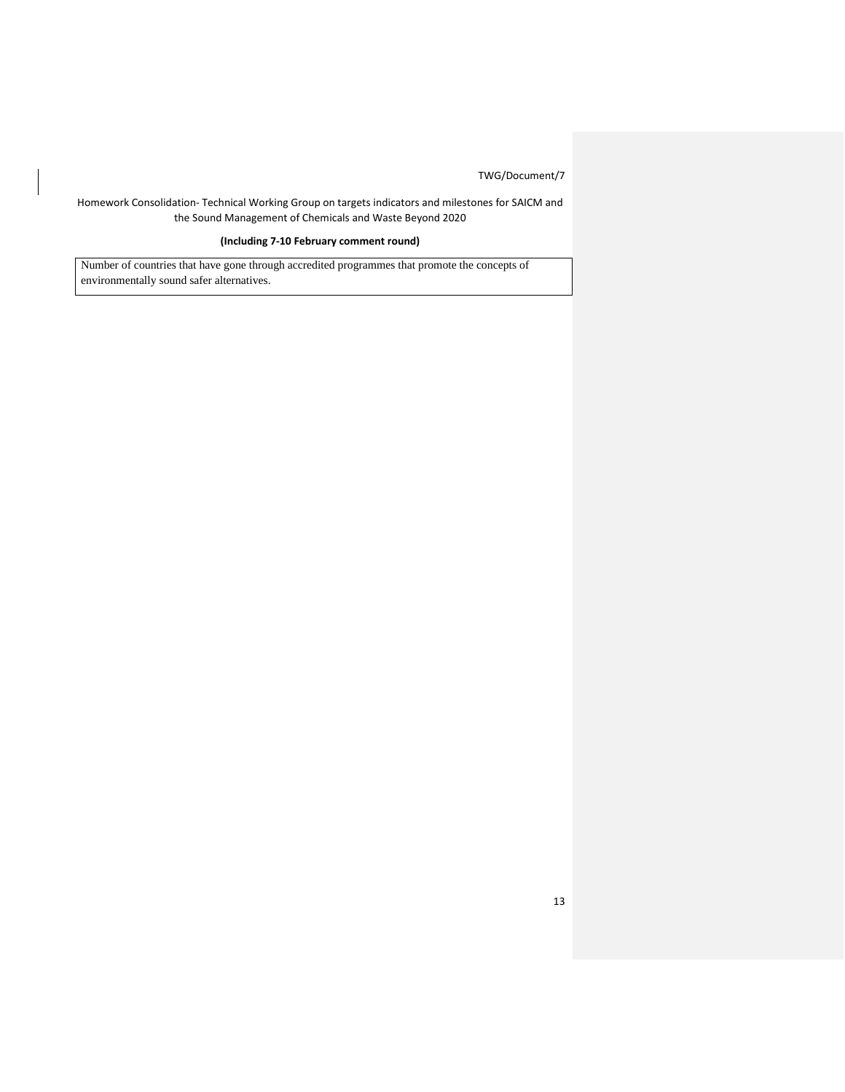Homework Consolidation- Technical Working Group on targets indicators and milestones for SAICM and the Sound Management of Chemicals and Waste Beyond 2020

## **(Including 7-10 February comment round)**

Number of countries that have gone through accredited programmes that promote the concepts of environmentally sound safer alternatives.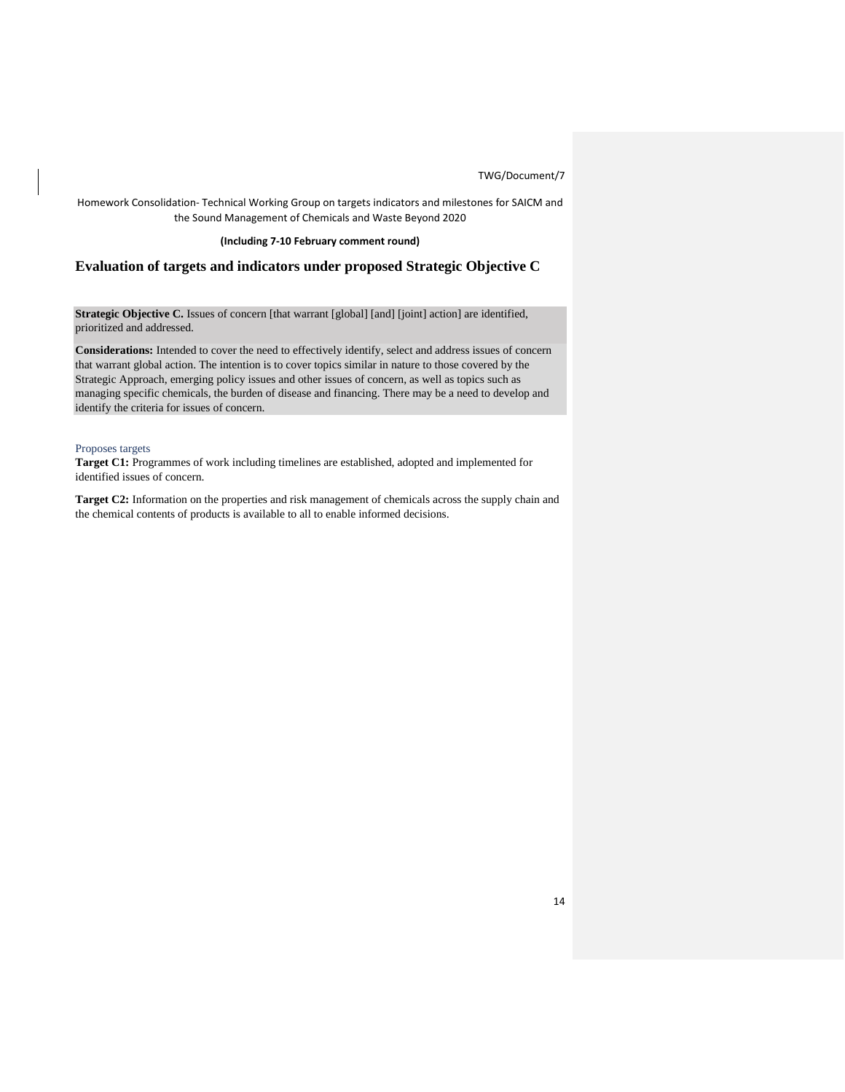Homework Consolidation- Technical Working Group on targets indicators and milestones for SAICM and the Sound Management of Chemicals and Waste Beyond 2020

### **(Including 7-10 February comment round)**

## **Evaluation of targets and indicators under proposed Strategic Objective C**

**Strategic Objective C.** Issues of concern [that warrant [global] [and] [joint] action] are identified, prioritized and addressed.

**Considerations:** Intended to cover the need to effectively identify, select and address issues of concern that warrant global action. The intention is to cover topics similar in nature to those covered by the Strategic Approach, emerging policy issues and other issues of concern, as well as topics such as managing specific chemicals, the burden of disease and financing. There may be a need to develop and identify the criteria for issues of concern.

### Proposes targets

**Target C1:** Programmes of work including timelines are established, adopted and implemented for identified issues of concern.

**Target C2:** Information on the properties and risk management of chemicals across the supply chain and the chemical contents of products is available to all to enable informed decisions.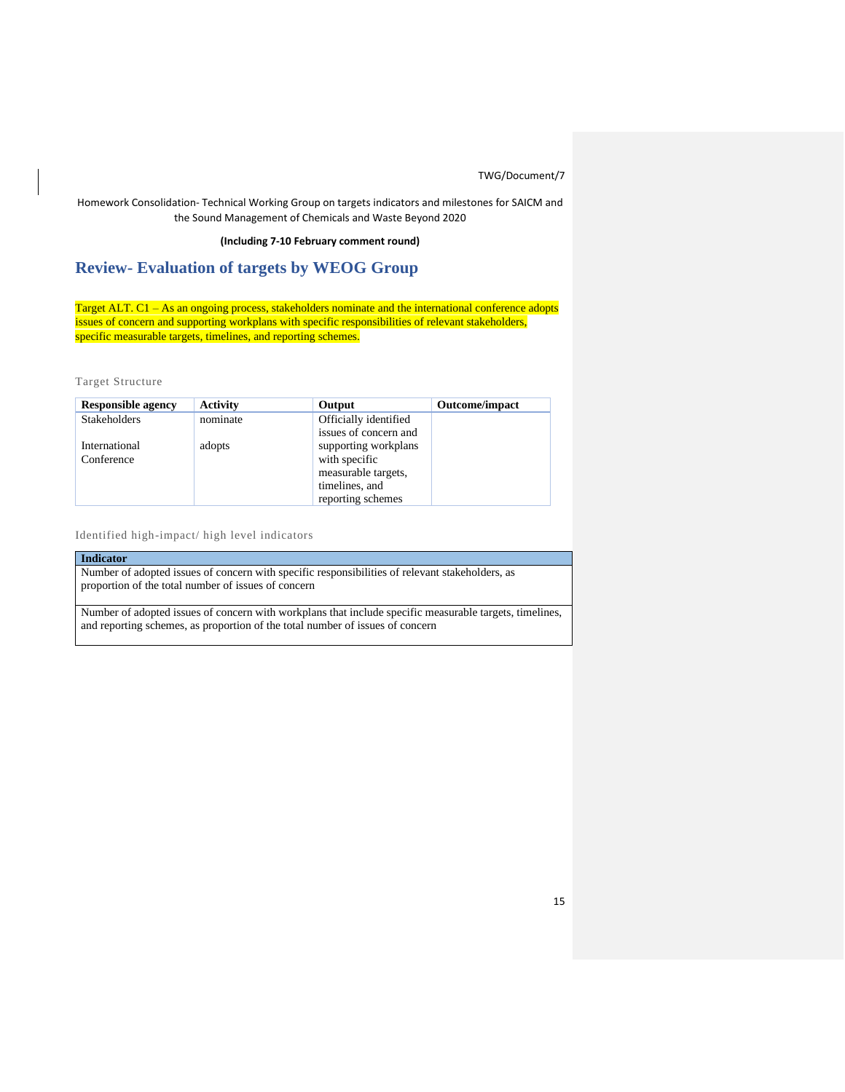Homework Consolidation- Technical Working Group on targets indicators and milestones for SAICM and the Sound Management of Chemicals and Waste Beyond 2020

### **(Including 7-10 February comment round)**

# **Review- Evaluation of targets by WEOG Group**

Target ALT. C1 - As an ongoing process, stakeholders nominate and the international conference adopts issues of concern and supporting workplans with specific responsibilities of relevant stakeholders, specific measurable targets, timelines, and reporting schemes.

Target Structure

| <b>Responsible agency</b> | <b>Activity</b> | Output                | <b>Outcome/impact</b> |
|---------------------------|-----------------|-----------------------|-----------------------|
| <b>Stakeholders</b>       | nominate        | Officially identified |                       |
|                           |                 | issues of concern and |                       |
| International             | adopts          | supporting workplans  |                       |
| Conference                |                 | with specific         |                       |
|                           |                 | measurable targets,   |                       |
|                           |                 | timelines, and        |                       |
|                           |                 | reporting schemes     |                       |

Identified high-impact/ high level indicators

**Indicator** 

Number of adopted issues of concern with specific responsibilities of relevant stakeholders, as proportion of the total number of issues of concern

Number of adopted issues of concern with workplans that include specific measurable targets, timelines, and reporting schemes, as proportion of the total number of issues of concern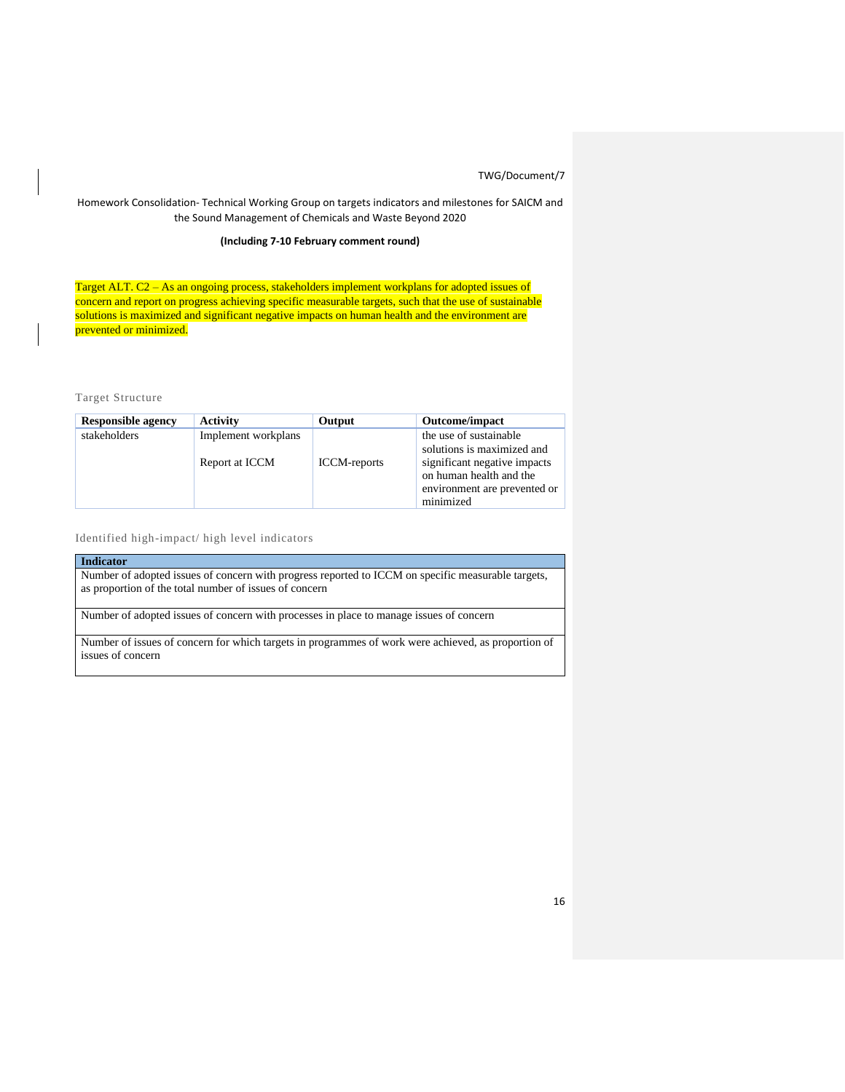## Homework Consolidation- Technical Working Group on targets indicators and milestones for SAICM and the Sound Management of Chemicals and Waste Beyond 2020

## **(Including 7-10 February comment round)**

Target ALT. C2 - As an ongoing process, stakeholders implement workplans for adopted issues of concern and report on progress achieving specific measurable targets, such that the use of sustainable solutions is maximized and significant negative impacts on human health and the environment are prevented or minimized.

Target Structure

| <b>Responsible agency</b> | <b>Activity</b>                       | Output              | <b>Outcome/impact</b>                                                                                                                                        |
|---------------------------|---------------------------------------|---------------------|--------------------------------------------------------------------------------------------------------------------------------------------------------------|
| stakeholders              | Implement workplans<br>Report at ICCM | <b>ICCM-reports</b> | the use of sustainable<br>solutions is maximized and<br>significant negative impacts<br>on human health and the<br>environment are prevented or<br>minimized |

Identified high-impact/ high level indicators

| <b>Indicator</b>                                                                                                                                             |
|--------------------------------------------------------------------------------------------------------------------------------------------------------------|
| Number of adopted issues of concern with progress reported to ICCM on specific measurable targets,<br>as proportion of the total number of issues of concern |
| Number of adopted issues of concern with processes in place to manage issues of concern                                                                      |

Number of issues of concern for which targets in programmes of work were achieved, as proportion of issues of concern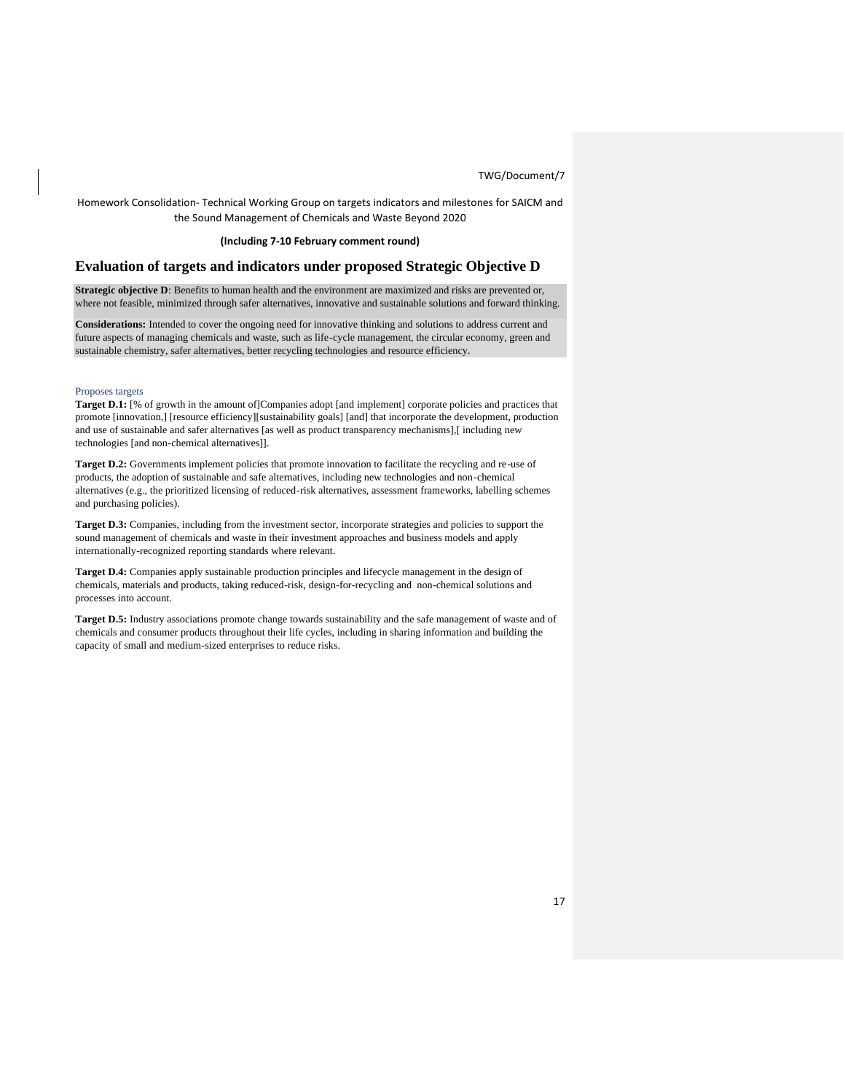Homework Consolidation- Technical Working Group on targets indicators and milestones for SAICM and the Sound Management of Chemicals and Waste Beyond 2020

### **(Including 7-10 February comment round)**

## **Evaluation of targets and indicators under proposed Strategic Objective D**

**Strategic objective D**: Benefits to human health and the environment are maximized and risks are prevented or, where not feasible, minimized through safer alternatives, innovative and sustainable solutions and forward thinking.

**Considerations:** Intended to cover the ongoing need for innovative thinking and solutions to address current and future aspects of managing chemicals and waste, such as life-cycle management, the circular economy, green and sustainable chemistry, safer alternatives, better recycling technologies and resource efficiency.

#### Proposes targets

**Target D.1:** [% of growth in the amount of]Companies adopt [and implement] corporate policies and practices that promote [innovation,] [resource efficiency][sustainability goals] [and] that incorporate the development, production and use of sustainable and safer alternatives [as well as product transparency mechanisms],[ including new technologies [and non-chemical alternatives]].

**Target D.2:** Governments implement policies that promote innovation to facilitate the recycling and re-use of products, the adoption of sustainable and safe alternatives, including new technologies and non-chemical alternatives (e.g., the prioritized licensing of reduced-risk alternatives, assessment frameworks, labelling schemes and purchasing policies).

**Target D.3:** Companies, including from the investment sector, incorporate strategies and policies to support the sound management of chemicals and waste in their investment approaches and business models and apply internationally-recognized reporting standards where relevant.

**Target D.4:** Companies apply sustainable production principles and lifecycle management in the design of chemicals, materials and products, taking reduced-risk, design-for-recycling and non-chemical solutions and processes into account.

**Target D.5:** Industry associations promote change towards sustainability and the safe management of waste and of chemicals and consumer products throughout their life cycles, including in sharing information and building the capacity of small and medium-sized enterprises to reduce risks.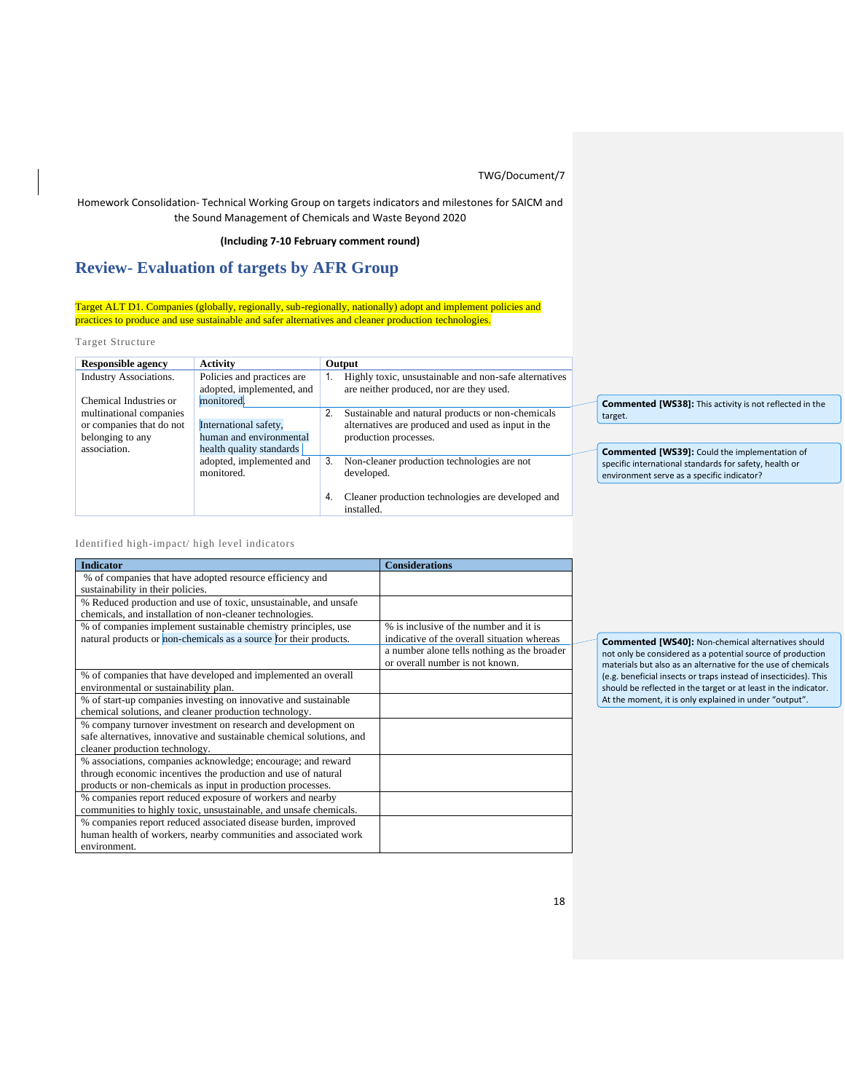## Homework Consolidation- Technical Working Group on targets indicators and milestones for SAICM and the Sound Management of Chemicals and Waste Beyond 2020

### **(Including 7-10 February comment round)**

# **Review- Evaluation of targets by AFR Group**

Target ALT D1. Companies (globally, regionally, sub-regionally, nationally) adopt and implement policies and practices to produce and use sustainable and safer alternatives and cleaner production technologies.

### Target Structure

| <b>Responsible agency</b>                                                               | <b>Activity</b>                                                              | Output                                                                                                                                 |
|-----------------------------------------------------------------------------------------|------------------------------------------------------------------------------|----------------------------------------------------------------------------------------------------------------------------------------|
| <b>Industry Associations.</b><br>Chemical Industries or                                 | Policies and practices are<br>adopted, implemented, and<br>monitored.        | Highly toxic, unsustainable and non-safe alternatives<br>1.<br>are neither produced, nor are they used.                                |
| multinational companies<br>or companies that do not<br>belonging to any<br>association. | International safety,<br>human and environmental<br>health quality standards | 2.<br>Sustainable and natural products or non-chemicals<br>alternatives are produced and used as input in the<br>production processes. |
|                                                                                         | adopted, implemented and<br>monitored.                                       | 3.<br>Non-cleaner production technologies are not<br>developed.                                                                        |
|                                                                                         |                                                                              | 4.<br>Cleaner production technologies are developed and<br>installed.                                                                  |

**Commented [WS38]:** This activity is not reflected in the target.

**Commented [WS39]:** Could the implementation of specific international standards for safety, health or environment serve as a specific indicator?

### Identified high-impact/ high level indicators

| <b>Indicator</b>                                                                                                                                                                             | <b>Considerations</b>                                                                 |
|----------------------------------------------------------------------------------------------------------------------------------------------------------------------------------------------|---------------------------------------------------------------------------------------|
| % of companies that have adopted resource efficiency and<br>sustainability in their policies.                                                                                                |                                                                                       |
| % Reduced production and use of toxic, unsustainable, and unsafe<br>chemicals, and installation of non-cleaner technologies.                                                                 |                                                                                       |
| % of companies implement sustainable chemistry principles, use<br>natural products or non-chemicals as a source for their products.                                                          | % is inclusive of the number and it is<br>indicative of the overall situation whereas |
|                                                                                                                                                                                              | a number alone tells nothing as the broader<br>or overall number is not known.        |
| % of companies that have developed and implemented an overall<br>environmental or sustainability plan.                                                                                       |                                                                                       |
| % of start-up companies investing on innovative and sustainable<br>chemical solutions, and cleaner production technology.                                                                    |                                                                                       |
| % company turnover investment on research and development on<br>safe alternatives, innovative and sustainable chemical solutions, and<br>cleaner production technology.                      |                                                                                       |
| % associations, companies acknowledge; encourage; and reward<br>through economic incentives the production and use of natural<br>products or non-chemicals as input in production processes. |                                                                                       |
| % companies report reduced exposure of workers and nearby<br>communities to highly toxic, unsustainable, and unsafe chemicals.                                                               |                                                                                       |
| % companies report reduced associated disease burden, improved<br>human health of workers, nearby communities and associated work<br>environment.                                            |                                                                                       |

**Commented [WS40]:** Non-chemical alternatives should not only be considered as a potential source of production materials but also as an alternative for the use of chemicals (e.g. beneficial insects or traps instead of insecticides). This should be reflected in the target or at least in the indicator. At the moment, it is only explained in under "output".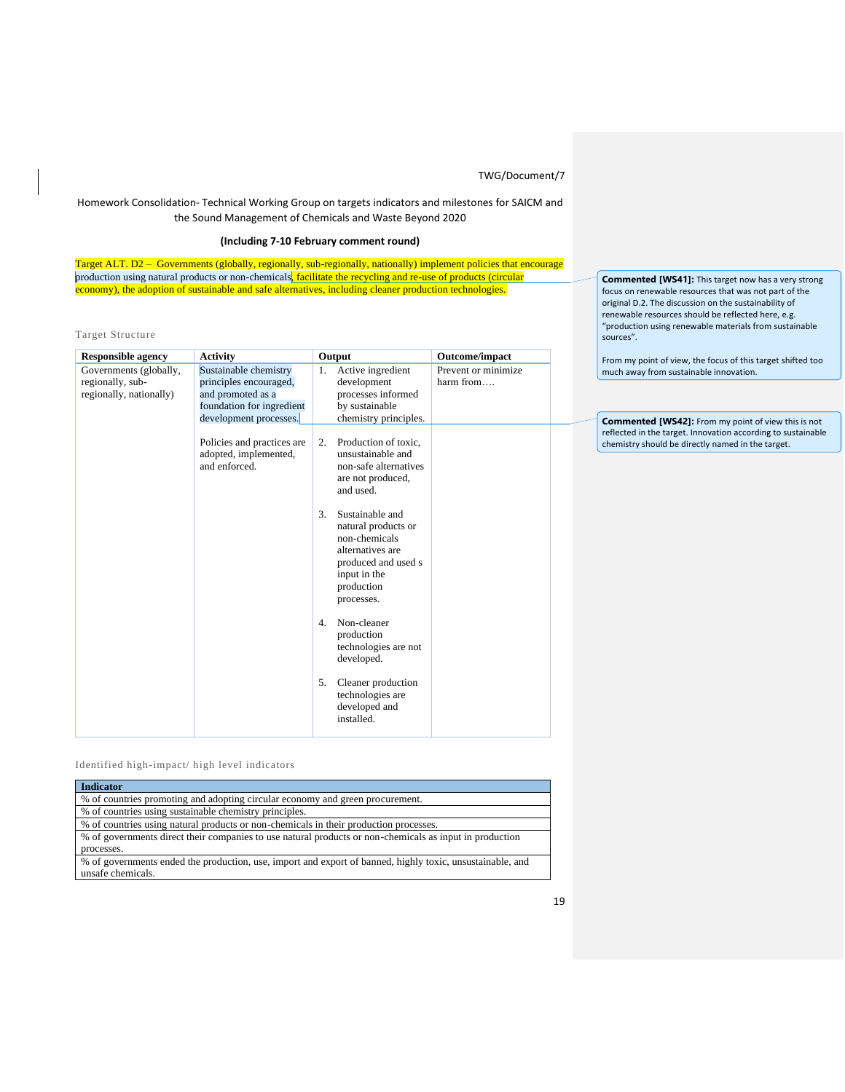## Homework Consolidation- Technical Working Group on targets indicators and milestones for SAICM and the Sound Management of Chemicals and Waste Beyond 2020

## **(Including 7-10 February comment round)**

Target ALT. D2 – Governments (globally, regionally, sub-regionally, nationally) implement policies that encourage production using natural products or non-chemicals, facilitate the recycling and re-use of products (circular economy), the adoption of sustainable and safe alternatives, including cleaner production technologies.

Target Structure

| <b>Responsible agency</b>                                             | <b>Activity</b>                                                                                                             |                  | Output                                                                                                                                         | Outcome/impact                   |
|-----------------------------------------------------------------------|-----------------------------------------------------------------------------------------------------------------------------|------------------|------------------------------------------------------------------------------------------------------------------------------------------------|----------------------------------|
| Governments (globally,<br>regionally, sub-<br>regionally, nationally) | Sustainable chemistry<br>principles encouraged,<br>and promoted as a<br>foundation for ingredient<br>development processes. | 1.               | Active ingredient<br>development<br>processes informed<br>by sustainable<br>chemistry principles.                                              | Prevent or minimize<br>harm from |
|                                                                       | Policies and practices are<br>adopted, implemented,<br>and enforced.                                                        | 2.               | Production of toxic,<br>unsustainable and<br>non-safe alternatives<br>are not produced,<br>and used.                                           |                                  |
|                                                                       |                                                                                                                             | 3.               | Sustainable and<br>natural products or<br>non-chemicals<br>alternatives are<br>produced and used s<br>input in the<br>production<br>processes. |                                  |
|                                                                       |                                                                                                                             | $\overline{4}$ . | Non-cleaner<br>production<br>technologies are not<br>developed.                                                                                |                                  |
|                                                                       |                                                                                                                             | 5.               | Cleaner production<br>technologies are<br>developed and<br>installed.                                                                          |                                  |

Identified high-impact/ high level indicators

| <b>Indicator</b>                                                                                          |
|-----------------------------------------------------------------------------------------------------------|
| % of countries promoting and adopting circular economy and green procurement.                             |
| % of countries using sustainable chemistry principles.                                                    |
| % of countries using natural products or non-chemicals in their production processes.                     |
| % of governments direct their companies to use natural products or non-chemicals as input in production   |
| processes.                                                                                                |
| % of governments ended the production, use, import and export of banned, highly toxic, unsustainable, and |
| unsafe chemicals.                                                                                         |
|                                                                                                           |

**Commented [WS41]:** This target now has a very strong focus on renewable resources that was not part of the original D.2. The discussion on the sustainability of renewable resources should be reflected here, e.g. "production using renewable materials from sustainable sources".

From my point of view, the focus of this target shifted too much away from sustainable innovation.

**Commented [WS42]:** From my point of view this is not reflected in the target. Innovation according to sustainable chemistry should be directly named in the target.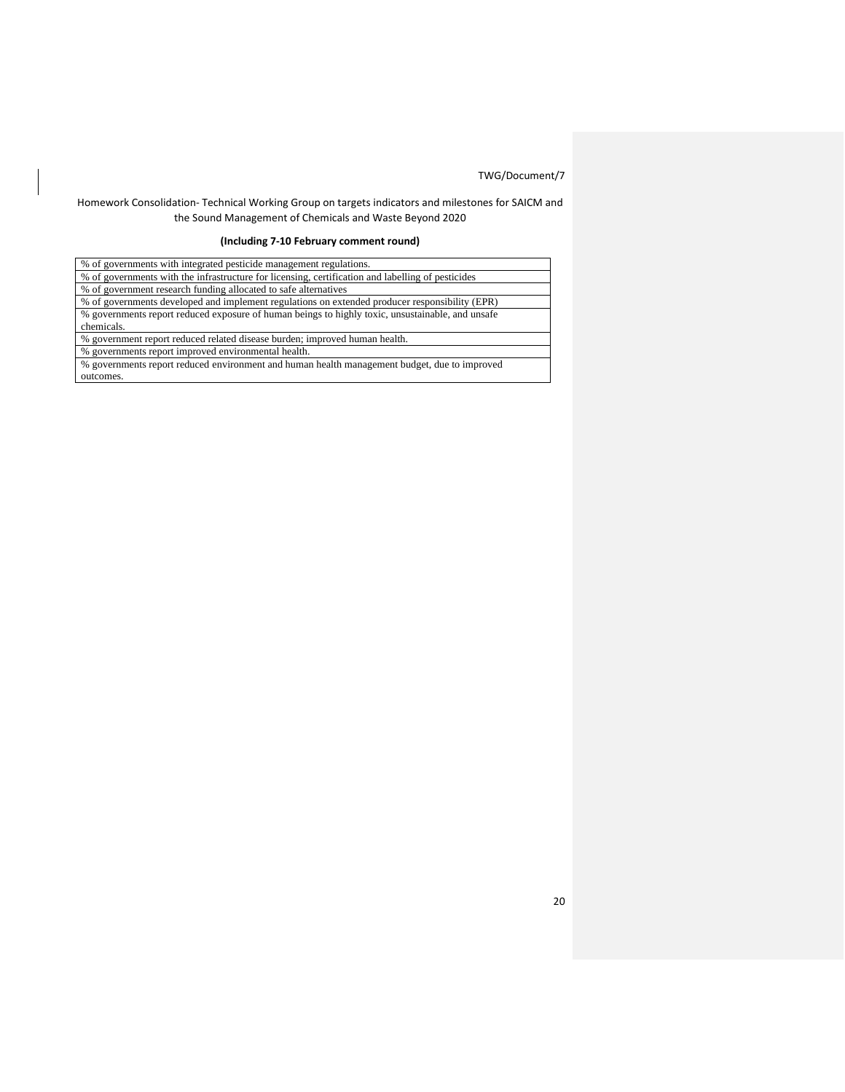## Homework Consolidation- Technical Working Group on targets indicators and milestones for SAICM and the Sound Management of Chemicals and Waste Beyond 2020

## **(Including 7-10 February comment round)**

| % of governments with integrated pesticide management regulations.                                |  |  |  |
|---------------------------------------------------------------------------------------------------|--|--|--|
| % of governments with the infrastructure for licensing, certification and labelling of pesticides |  |  |  |
| % of government research funding allocated to safe alternatives                                   |  |  |  |
| % of governments developed and implement regulations on extended producer responsibility (EPR)    |  |  |  |
| % governments report reduced exposure of human beings to highly toxic, unsustainable, and unsafe  |  |  |  |
| chemicals.                                                                                        |  |  |  |
| % government report reduced related disease burden; improved human health.                        |  |  |  |
| % governments report improved environmental health.                                               |  |  |  |
| % governments report reduced environment and human health management budget, due to improved      |  |  |  |
| outcomes.                                                                                         |  |  |  |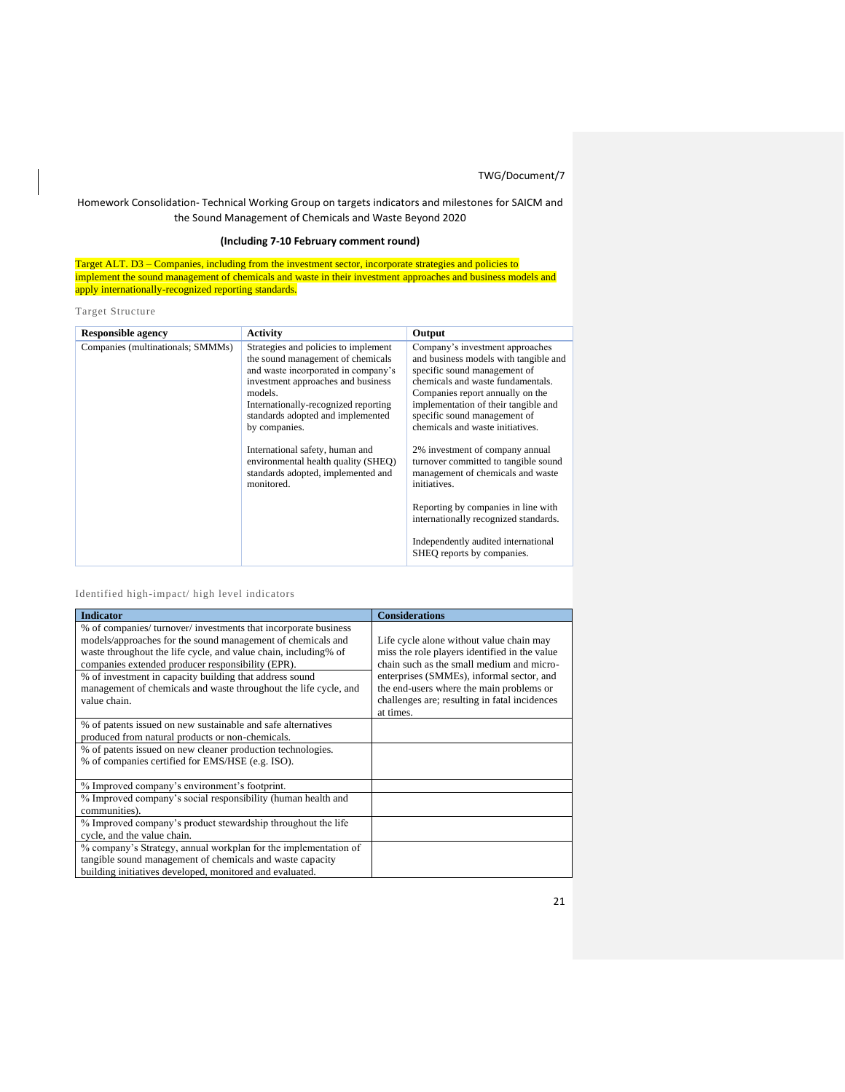## Homework Consolidation- Technical Working Group on targets indicators and milestones for SAICM and the Sound Management of Chemicals and Waste Beyond 2020

## **(Including 7-10 February comment round)**

Target ALT. D3 – Companies, including from the investment sector, incorporate strategies and policies to implement the sound management of chemicals and waste in their investment approaches and business models and apply internationally-recognized reporting standards.

Target Structure

| <b>Responsible agency</b>         | <b>Activity</b>                                                                                                                                                                                                                                                                                                                                                                               | Output                                                                                                                                                                                                                                                                                                                                                                                                                        |
|-----------------------------------|-----------------------------------------------------------------------------------------------------------------------------------------------------------------------------------------------------------------------------------------------------------------------------------------------------------------------------------------------------------------------------------------------|-------------------------------------------------------------------------------------------------------------------------------------------------------------------------------------------------------------------------------------------------------------------------------------------------------------------------------------------------------------------------------------------------------------------------------|
| Companies (multinationals; SMMMs) | Strategies and policies to implement<br>the sound management of chemicals<br>and waste incorporated in company's<br>investment approaches and business<br>models.<br>Internationally-recognized reporting<br>standards adopted and implemented<br>by companies.<br>International safety, human and<br>environmental health quality (SHEQ)<br>standards adopted, implemented and<br>monitored. | Company's investment approaches<br>and business models with tangible and<br>specific sound management of<br>chemicals and waste fundamentals.<br>Companies report annually on the<br>implementation of their tangible and<br>specific sound management of<br>chemicals and waste initiatives.<br>2% investment of company annual<br>turnover committed to tangible sound<br>management of chemicals and waste<br>initiatives. |
|                                   |                                                                                                                                                                                                                                                                                                                                                                                               | Reporting by companies in line with<br>internationally recognized standards.                                                                                                                                                                                                                                                                                                                                                  |
|                                   |                                                                                                                                                                                                                                                                                                                                                                                               | Independently audited international<br>SHEQ reports by companies.                                                                                                                                                                                                                                                                                                                                                             |

## Identified high-impact/ high level indicators

| <b>Indicator</b>                                                 | <b>Considerations</b>                         |
|------------------------------------------------------------------|-----------------------------------------------|
| % of companies/ turnover/ investments that incorporate business  |                                               |
| models/approaches for the sound management of chemicals and      | Life cycle alone without value chain may      |
| waste throughout the life cycle, and value chain, including% of  | miss the role players identified in the value |
| companies extended producer responsibility (EPR).                | chain such as the small medium and micro-     |
| % of investment in capacity building that address sound          | enterprises (SMMEs), informal sector, and     |
| management of chemicals and waste throughout the life cycle, and | the end-users where the main problems or      |
| value chain.                                                     | challenges are; resulting in fatal incidences |
|                                                                  | at times.                                     |
| % of patents issued on new sustainable and safe alternatives     |                                               |
| produced from natural products or non-chemicals.                 |                                               |
| % of patents issued on new cleaner production technologies.      |                                               |
| % of companies certified for EMS/HSE (e.g. ISO).                 |                                               |
|                                                                  |                                               |
| % Improved company's environment's footprint.                    |                                               |
| % Improved company's social responsibility (human health and     |                                               |
| communities).                                                    |                                               |
| % Improved company's product stewardship throughout the life     |                                               |
| cycle, and the value chain.                                      |                                               |
| % company's Strategy, annual workplan for the implementation of  |                                               |
| tangible sound management of chemicals and waste capacity        |                                               |
| building initiatives developed, monitored and evaluated.         |                                               |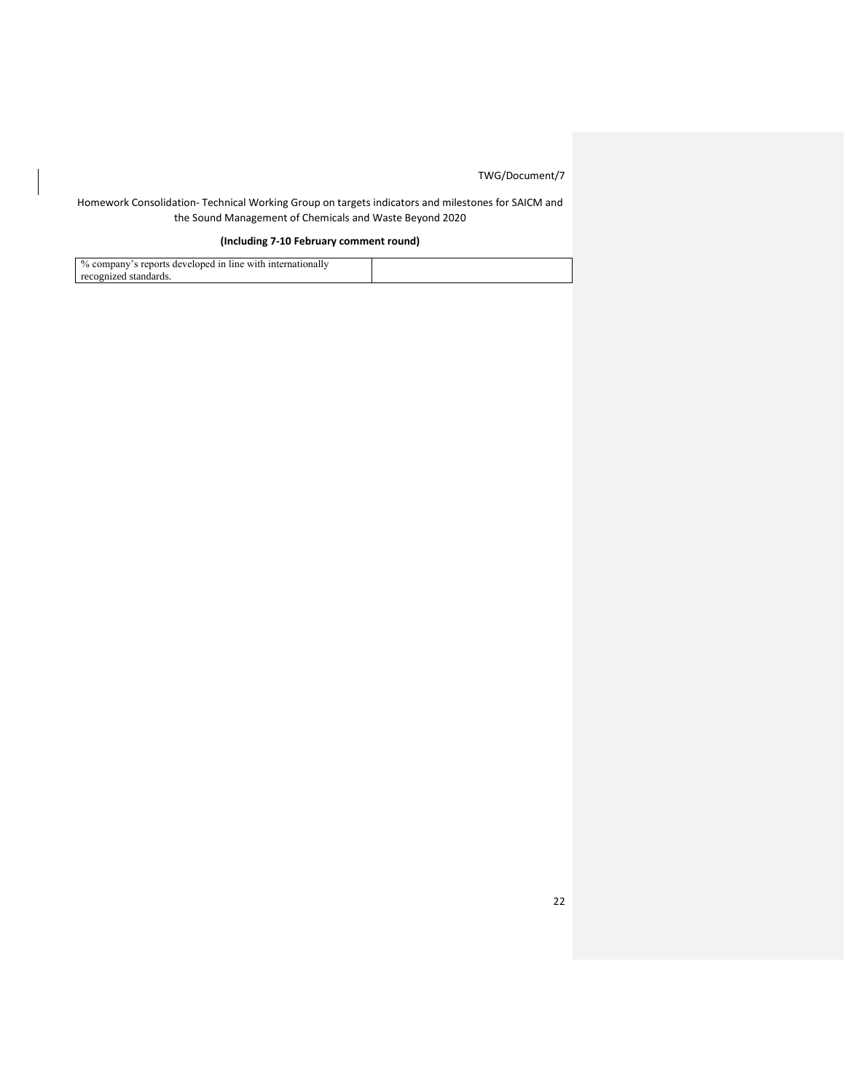## Homework Consolidation- Technical Working Group on targets indicators and milestones for SAICM and the Sound Management of Chemicals and Waste Beyond 2020

## **(Including 7-10 February comment round)**

| recognized standards. |  |
|-----------------------|--|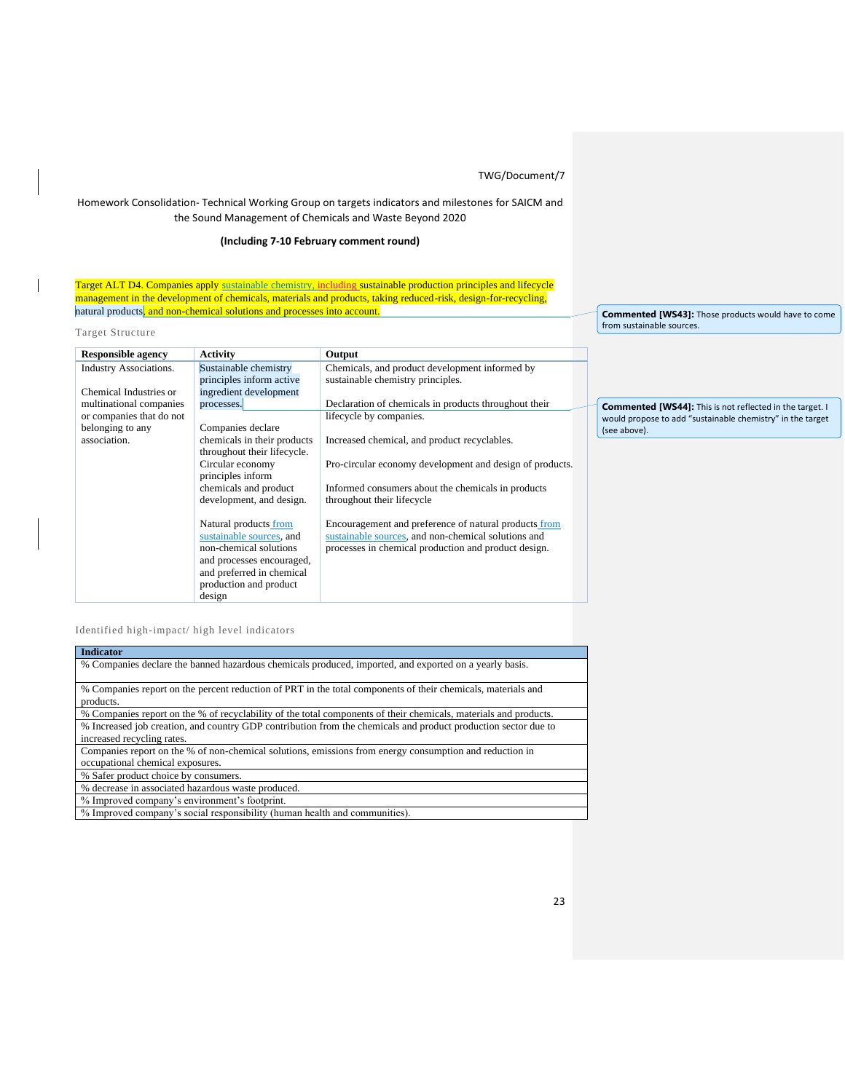## Homework Consolidation- Technical Working Group on targets indicators and milestones for SAICM and the Sound Management of Chemicals and Waste Beyond 2020

## **(Including 7-10 February comment round)**

Target ALT D4. Companies apply sustainable chemistry, including sustainable production principles and lifecycle management in the development of chemicals, materials and products, taking reduced-risk, design-for-recycling, natural products, and non-chemical solutions and processes into account.

Target Structure

 $\overline{\phantom{a}}$ 

| <b>Responsible agency</b>     | <b>Activity</b>             | Output                                                   |
|-------------------------------|-----------------------------|----------------------------------------------------------|
| <b>Industry Associations.</b> | Sustainable chemistry       | Chemicals, and product development informed by           |
|                               | principles inform active    | sustainable chemistry principles.                        |
| Chemical Industries or        | ingredient development      |                                                          |
| multinational companies       | processes.                  | Declaration of chemicals in products throughout their    |
| or companies that do not      |                             | lifecycle by companies.                                  |
| belonging to any              | Companies declare           |                                                          |
| association.                  | chemicals in their products | Increased chemical, and product recyclables.             |
|                               | throughout their lifecycle. |                                                          |
|                               | Circular economy            | Pro-circular economy development and design of products. |
|                               | principles inform           |                                                          |
|                               | chemicals and product       | Informed consumers about the chemicals in products       |
|                               | development, and design.    | throughout their lifecycle                               |
|                               |                             |                                                          |
|                               | Natural products from       | Encouragement and preference of natural products from    |
|                               | sustainable sources, and    | sustainable sources, and non-chemical solutions and      |
|                               | non-chemical solutions      | processes in chemical production and product design.     |
|                               | and processes encouraged,   |                                                          |
|                               | and preferred in chemical   |                                                          |
|                               | production and product      |                                                          |
|                               | design                      |                                                          |

**Commented [WS43]:** Those products would have to come from sustainable sources.

**Commented [WS44]:** This is not reflected in the target. I would propose to add "sustainable chemistry" in the target (see above).

### Identified high-impact/ high level indicators

| <b>Indicator</b>                                                                                                 |
|------------------------------------------------------------------------------------------------------------------|
| % Companies declare the banned hazardous chemicals produced, imported, and exported on a yearly basis.           |
|                                                                                                                  |
| % Companies report on the percent reduction of PRT in the total components of their chemicals, materials and     |
| products.                                                                                                        |
| % Companies report on the % of recyclability of the total components of their chemicals, materials and products. |
| % Increased job creation, and country GDP contribution from the chemicals and product production sector due to   |
| increased recycling rates.                                                                                       |
| Companies report on the % of non-chemical solutions, emissions from energy consumption and reduction in          |
| occupational chemical exposures.                                                                                 |
| % Safer product choice by consumers.                                                                             |
| % decrease in associated hazardous waste produced.                                                               |
| % Improved company's environment's footprint.                                                                    |
| % Improved company's social responsibility (human health and communities).                                       |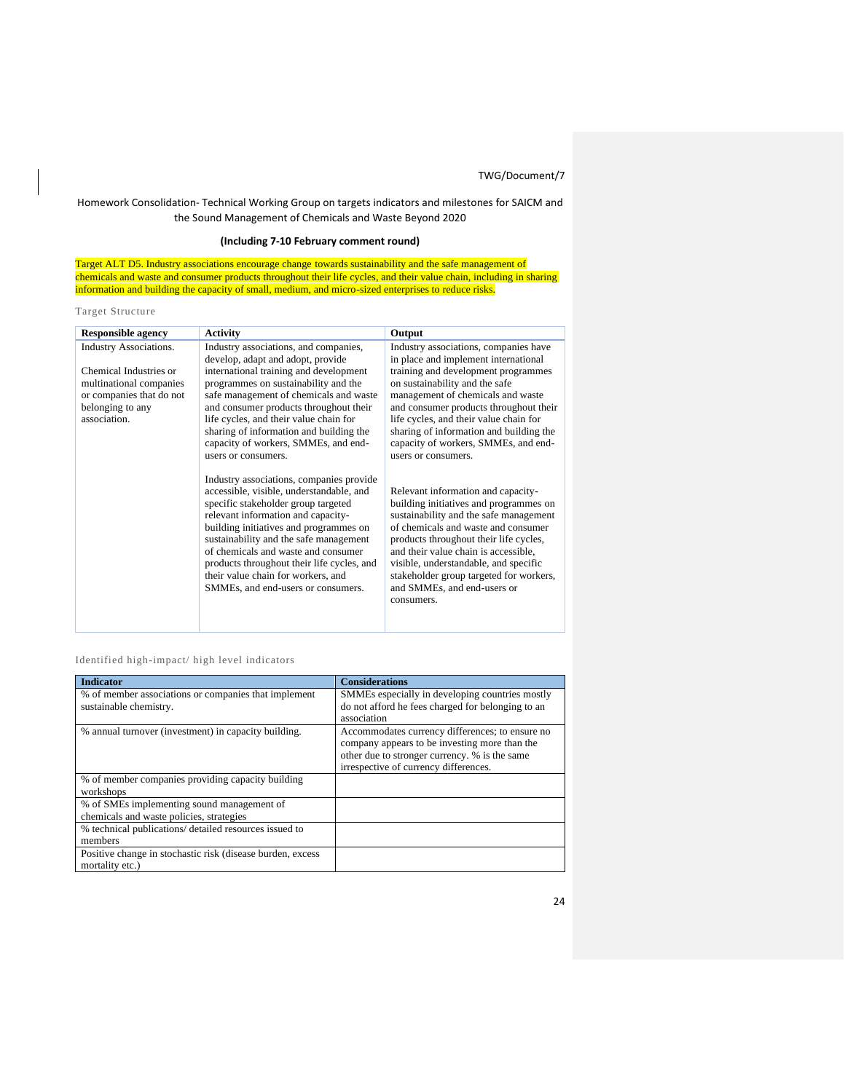## Homework Consolidation- Technical Working Group on targets indicators and milestones for SAICM and the Sound Management of Chemicals and Waste Beyond 2020

## **(Including 7-10 February comment round)**

Target ALT D5. Industry associations encourage change towards sustainability and the safe management of chemicals and waste and consumer products throughout their life cycles, and their value chain, including in sharing information and building the capacity of small, medium, and micro-sized enterprises to reduce risks.

## Target Structure

| <b>Responsible agency</b>     | <b>Activity</b>                                                                                                                                                                                                                                                                                                                                                                                                        | Output                                                                                                                                                                                                                                                                                                                                                                           |  |
|-------------------------------|------------------------------------------------------------------------------------------------------------------------------------------------------------------------------------------------------------------------------------------------------------------------------------------------------------------------------------------------------------------------------------------------------------------------|----------------------------------------------------------------------------------------------------------------------------------------------------------------------------------------------------------------------------------------------------------------------------------------------------------------------------------------------------------------------------------|--|
| <b>Industry Associations.</b> | Industry associations, and companies,                                                                                                                                                                                                                                                                                                                                                                                  | Industry associations, companies have                                                                                                                                                                                                                                                                                                                                            |  |
|                               | develop, adapt and adopt, provide                                                                                                                                                                                                                                                                                                                                                                                      | in place and implement international                                                                                                                                                                                                                                                                                                                                             |  |
| Chemical Industries or        | international training and development                                                                                                                                                                                                                                                                                                                                                                                 | training and development programmes                                                                                                                                                                                                                                                                                                                                              |  |
| multinational companies       | programmes on sustainability and the                                                                                                                                                                                                                                                                                                                                                                                   | on sustainability and the safe                                                                                                                                                                                                                                                                                                                                                   |  |
| or companies that do not      | safe management of chemicals and waste                                                                                                                                                                                                                                                                                                                                                                                 | management of chemicals and waste                                                                                                                                                                                                                                                                                                                                                |  |
| belonging to any              | and consumer products throughout their                                                                                                                                                                                                                                                                                                                                                                                 | and consumer products throughout their                                                                                                                                                                                                                                                                                                                                           |  |
| association.                  | life cycles, and their value chain for                                                                                                                                                                                                                                                                                                                                                                                 | life cycles, and their value chain for                                                                                                                                                                                                                                                                                                                                           |  |
|                               | sharing of information and building the                                                                                                                                                                                                                                                                                                                                                                                | sharing of information and building the                                                                                                                                                                                                                                                                                                                                          |  |
|                               | capacity of workers, SMMEs, and end-                                                                                                                                                                                                                                                                                                                                                                                   | capacity of workers, SMMEs, and end-                                                                                                                                                                                                                                                                                                                                             |  |
|                               | users or consumers.                                                                                                                                                                                                                                                                                                                                                                                                    | users or consumers.                                                                                                                                                                                                                                                                                                                                                              |  |
|                               | Industry associations, companies provide<br>accessible, visible, understandable, and<br>specific stakeholder group targeted<br>relevant information and capacity-<br>building initiatives and programmes on<br>sustainability and the safe management<br>of chemicals and waste and consumer<br>products throughout their life cycles, and<br>their value chain for workers, and<br>SMMEs, and end-users or consumers. | Relevant information and capacity-<br>building initiatives and programmes on<br>sustainability and the safe management<br>of chemicals and waste and consumer<br>products throughout their life cycles,<br>and their value chain is accessible,<br>visible, understandable, and specific<br>stakeholder group targeted for workers,<br>and SMMEs, and end-users or<br>consumers. |  |

## Identified high-impact/ high level indicators

| <b>Indicator</b>                                           | <b>Considerations</b>                             |
|------------------------------------------------------------|---------------------------------------------------|
| % of member associations or companies that implement       | SMMEs especially in developing countries mostly   |
| sustainable chemistry.                                     | do not afford he fees charged for belonging to an |
|                                                            | association                                       |
| % annual turnover (investment) in capacity building.       | Accommodates currency differences; to ensure no   |
|                                                            | company appears to be investing more than the     |
|                                                            | other due to stronger currency. % is the same     |
|                                                            | irrespective of currency differences.             |
| % of member companies providing capacity building          |                                                   |
| workshops                                                  |                                                   |
| % of SMEs implementing sound management of                 |                                                   |
| chemicals and waste policies, strategies                   |                                                   |
| % technical publications/ detailed resources issued to     |                                                   |
| members                                                    |                                                   |
| Positive change in stochastic risk (disease burden, excess |                                                   |
| mortality etc.)                                            |                                                   |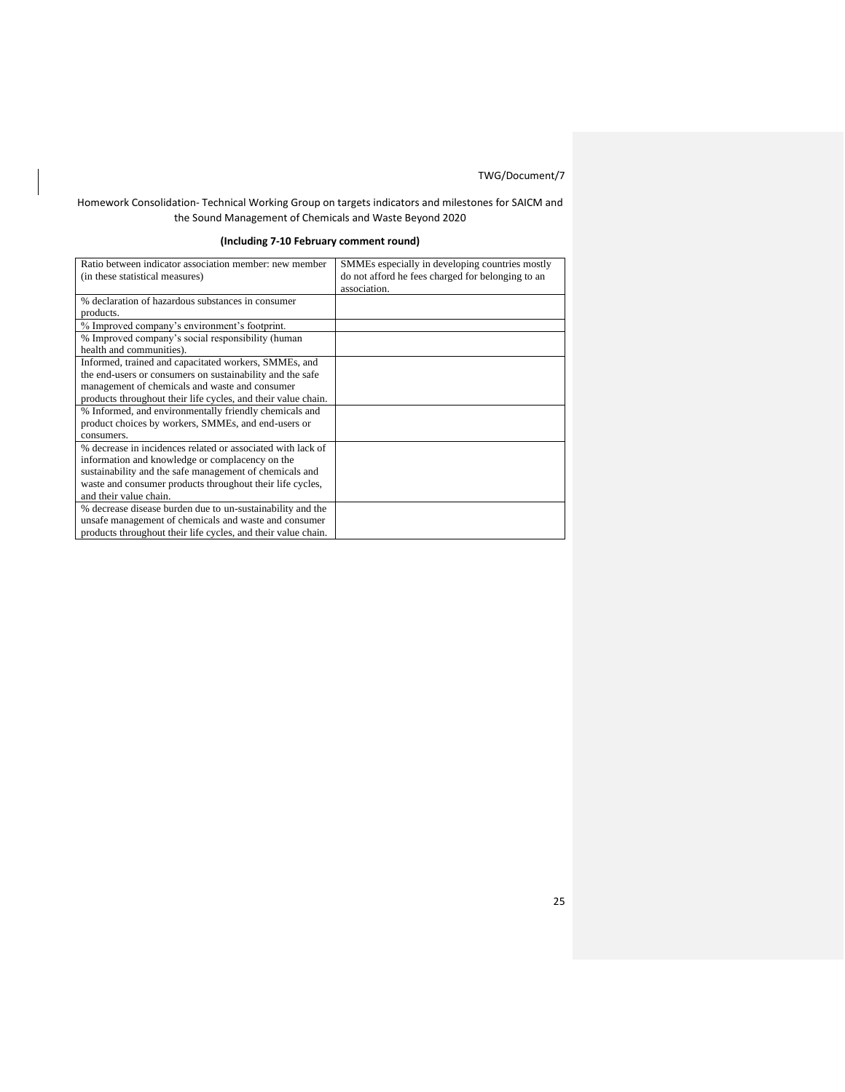## Homework Consolidation- Technical Working Group on targets indicators and milestones for SAICM and the Sound Management of Chemicals and Waste Beyond 2020

## **(Including 7-10 February comment round)**

| Ratio between indicator association member: new member        | SMMEs especially in developing countries mostly   |
|---------------------------------------------------------------|---------------------------------------------------|
| (in these statistical measures)                               | do not afford he fees charged for belonging to an |
|                                                               | association.                                      |
| % declaration of hazardous substances in consumer             |                                                   |
| products.                                                     |                                                   |
| % Improved company's environment's footprint.                 |                                                   |
| % Improved company's social responsibility (human             |                                                   |
| health and communities).                                      |                                                   |
| Informed, trained and capacitated workers, SMMEs, and         |                                                   |
| the end-users or consumers on sustainability and the safe     |                                                   |
| management of chemicals and waste and consumer                |                                                   |
| products throughout their life cycles, and their value chain. |                                                   |
| % Informed, and environmentally friendly chemicals and        |                                                   |
| product choices by workers, SMMEs, and end-users or           |                                                   |
| consumers.                                                    |                                                   |
| % decrease in incidences related or associated with lack of   |                                                   |
| information and knowledge or complacency on the               |                                                   |
| sustainability and the safe management of chemicals and       |                                                   |
| waste and consumer products throughout their life cycles,     |                                                   |
| and their value chain.                                        |                                                   |
| % decrease disease burden due to un-sustainability and the    |                                                   |
| unsafe management of chemicals and waste and consumer         |                                                   |
| products throughout their life cycles, and their value chain. |                                                   |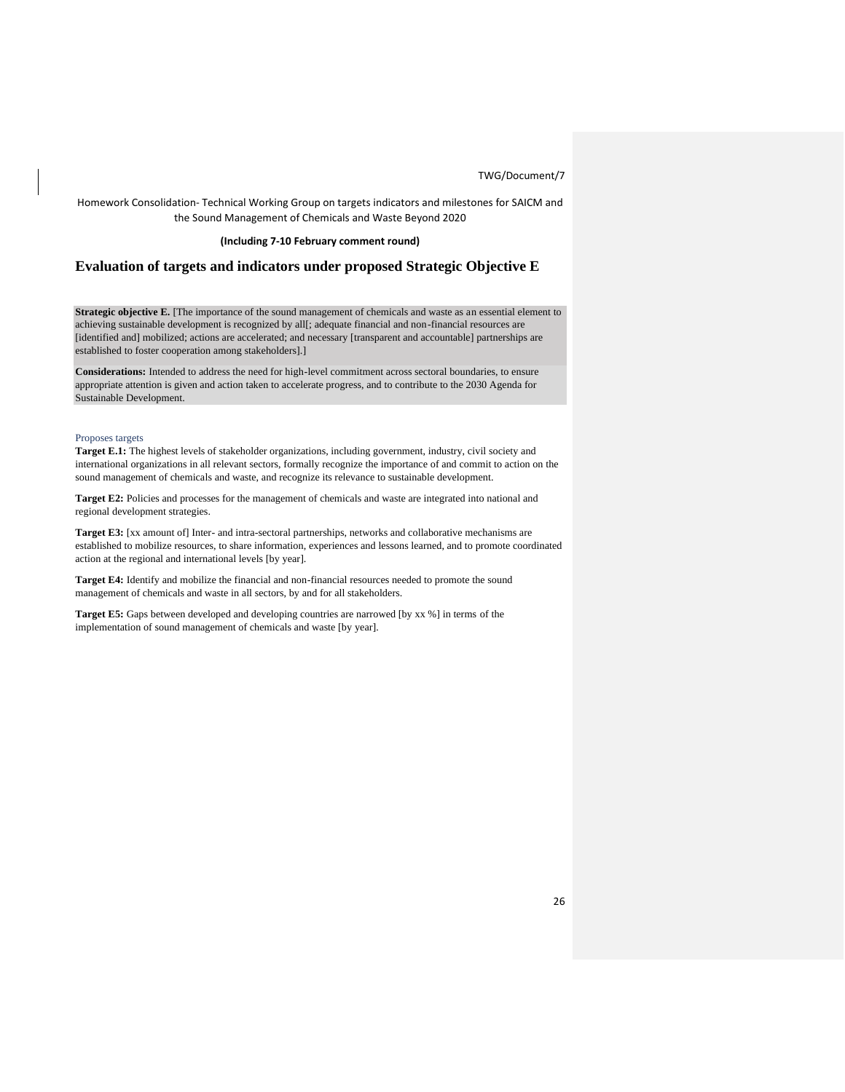Homework Consolidation- Technical Working Group on targets indicators and milestones for SAICM and the Sound Management of Chemicals and Waste Beyond 2020

### **(Including 7-10 February comment round)**

## **Evaluation of targets and indicators under proposed Strategic Objective E**

**Strategic objective E.** [The importance of the sound management of chemicals and waste as an essential element to achieving sustainable development is recognized by all[; adequate financial and non-financial resources are [identified and] mobilized; actions are accelerated; and necessary [transparent and accountable] partnerships are established to foster cooperation among stakeholders].]

**Considerations:** Intended to address the need for high-level commitment across sectoral boundaries, to ensure appropriate attention is given and action taken to accelerate progress, and to contribute to the 2030 Agenda for Sustainable Development.

#### Proposes targets

**Target E.1:** The highest levels of stakeholder organizations, including government, industry, civil society and international organizations in all relevant sectors, formally recognize the importance of and commit to action on the sound management of chemicals and waste, and recognize its relevance to sustainable development.

**Target E2:** Policies and processes for the management of chemicals and waste are integrated into national and regional development strategies.

**Target E3:** [xx amount of] Inter- and intra-sectoral partnerships, networks and collaborative mechanisms are established to mobilize resources, to share information, experiences and lessons learned, and to promote coordinated action at the regional and international levels [by year].

**Target E4:** Identify and mobilize the financial and non-financial resources needed to promote the sound management of chemicals and waste in all sectors, by and for all stakeholders.

**Target E5:** Gaps between developed and developing countries are narrowed [by xx %] in terms of the implementation of sound management of chemicals and waste [by year].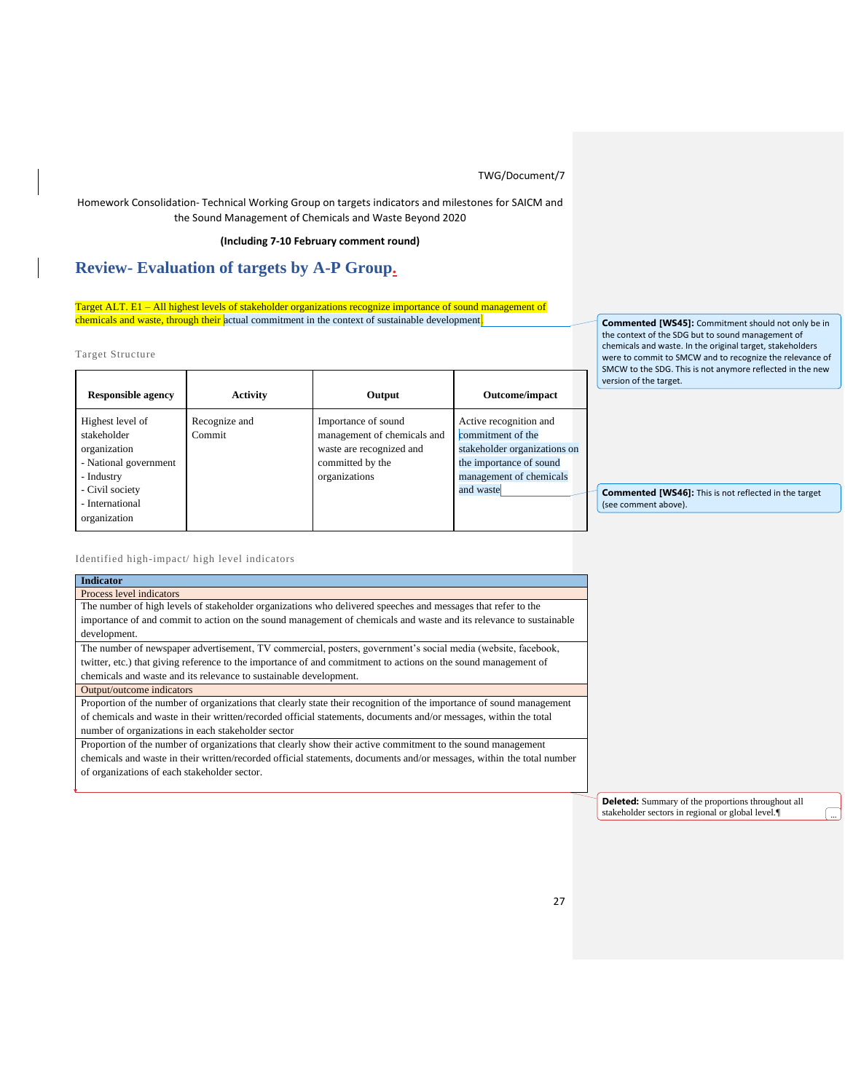Homework Consolidation- Technical Working Group on targets indicators and milestones for SAICM and the Sound Management of Chemicals and Waste Beyond 2020

## **(Including 7-10 February comment round)**

# **Review- Evaluation of targets by A-P Group.**

Target ALT. E1 – All highest levels of stakeholder organizations recognize importance of sound management of chemicals and waste, through their actual commitment in the context of sustainable development.

Target Structure

| <b>Responsible agency</b>                                                                                                                    | <b>Activity</b>         | Output                                                                                                              | Outcome/impact                                                                                                                                 |
|----------------------------------------------------------------------------------------------------------------------------------------------|-------------------------|---------------------------------------------------------------------------------------------------------------------|------------------------------------------------------------------------------------------------------------------------------------------------|
| Highest level of<br>stakeholder<br>organization<br>- National government<br>- Industry<br>- Civil society<br>- International<br>organization | Recognize and<br>Commit | Importance of sound<br>management of chemicals and<br>waste are recognized and<br>committed by the<br>organizations | Active recognition and<br>commitment of the<br>stakeholder organizations on<br>the importance of sound<br>management of chemicals<br>and waste |

**Commented [WS45]:** Commitment should not only be in the context of the SDG but to sound management of chemicals and waste. In the original target, stakeholders were to commit to SMCW and to recognize the relevance of SMCW to the SDG. This is not anymore reflected in the new version of the target.

**Commented [WS46]:** This is not reflected in the target (see comment above).

Identified high-impact/ high level indicators

| <b>Indicator</b>                                                                                                      |
|-----------------------------------------------------------------------------------------------------------------------|
| Process level indicators                                                                                              |
| The number of high levels of stakeholder organizations who delivered speeches and messages that refer to the          |
| importance of and commit to action on the sound management of chemicals and waste and its relevance to sustainable    |
| development.                                                                                                          |
| The number of newspaper advertisement, TV commercial, posters, government's social media (website, facebook,          |
| twitter, etc.) that giving reference to the importance of and commitment to actions on the sound management of        |
| chemicals and waste and its relevance to sustainable development.                                                     |
| Output/outcome indicators                                                                                             |
| Proportion of the number of organizations that clearly state their recognition of the importance of sound management  |
| of chemicals and waste in their written/recorded official statements, documents and/or messages, within the total     |
| number of organizations in each stakeholder sector                                                                    |
| Proportion of the number of organizations that clearly show their active commitment to the sound management           |
| chemicals and waste in their written/recorded official statements, documents and/or messages, within the total number |
| of organizations of each stakeholder sector.                                                                          |
|                                                                                                                       |
|                                                                                                                       |

**Deleted:** Summary of the proportions throughout all stakeholder sectors in regional or global level. $\P$  ...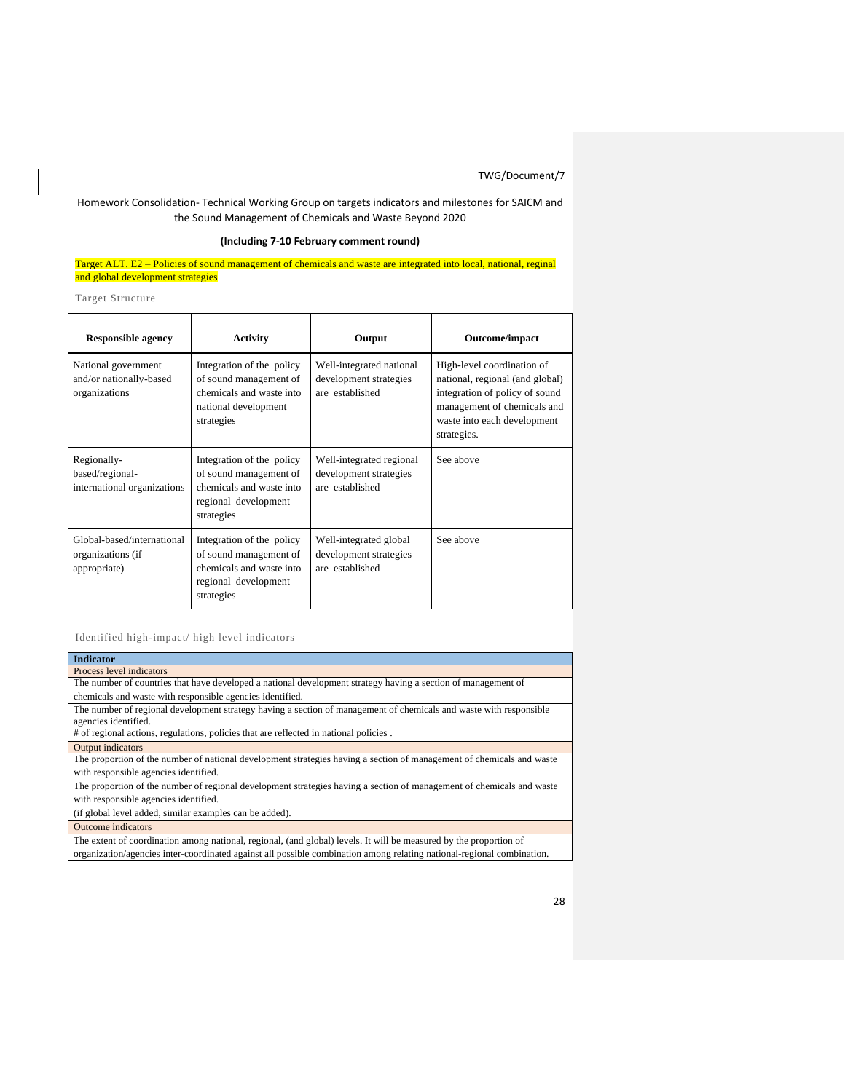## Homework Consolidation- Technical Working Group on targets indicators and milestones for SAICM and the Sound Management of Chemicals and Waste Beyond 2020

## **(Including 7-10 February comment round)**

Target ALT. E2 – Policies of sound management of chemicals and waste are integrated into local, national, reginal and global development strategies

Target Structure

| <b>Responsible agency</b>                                       | <b>Activity</b>                                                                                                       | Output                                                                | Outcome/impact                                                                                                                                                               |
|-----------------------------------------------------------------|-----------------------------------------------------------------------------------------------------------------------|-----------------------------------------------------------------------|------------------------------------------------------------------------------------------------------------------------------------------------------------------------------|
| National government<br>and/or nationally-based<br>organizations | Integration of the policy<br>of sound management of<br>chemicals and waste into<br>national development<br>strategies | Well-integrated national<br>development strategies<br>are established | High-level coordination of<br>national, regional (and global)<br>integration of policy of sound<br>management of chemicals and<br>waste into each development<br>strategies. |
| Regionally-<br>based/regional-<br>international organizations   | Integration of the policy<br>of sound management of<br>chemicals and waste into<br>regional development<br>strategies | Well-integrated regional<br>development strategies<br>are established | See above                                                                                                                                                                    |
| Global-based/international<br>organizations (if<br>appropriate) | Integration of the policy<br>of sound management of<br>chemicals and waste into<br>regional development<br>strategies | Well-integrated global<br>development strategies<br>are established   | See above                                                                                                                                                                    |

Identified high-impact/ high level indicators

| <b>Indicator</b>                                                                                                                           |
|--------------------------------------------------------------------------------------------------------------------------------------------|
| Process level indicators                                                                                                                   |
| The number of countries that have developed a national development strategy having a section of management of                              |
| chemicals and waste with responsible agencies identified.                                                                                  |
| The number of regional development strategy having a section of management of chemicals and waste with responsible<br>agencies identified. |
| # of regional actions, regulations, policies that are reflected in national policies.                                                      |
| Output indicators                                                                                                                          |
| The proportion of the number of national development strategies having a section of management of chemicals and waste                      |
| with responsible agencies identified.                                                                                                      |
| The proportion of the number of regional development strategies having a section of management of chemicals and waste                      |
| with responsible agencies identified.                                                                                                      |
| (if global level added, similar examples can be added).                                                                                    |
| <b>Outcome</b> indicators                                                                                                                  |
| The extent of coordination among national, regional, (and global) levels. It will be measured by the proportion of                         |
| organization/agencies inter-coordinated against all possible combination among relating national-regional combination.                     |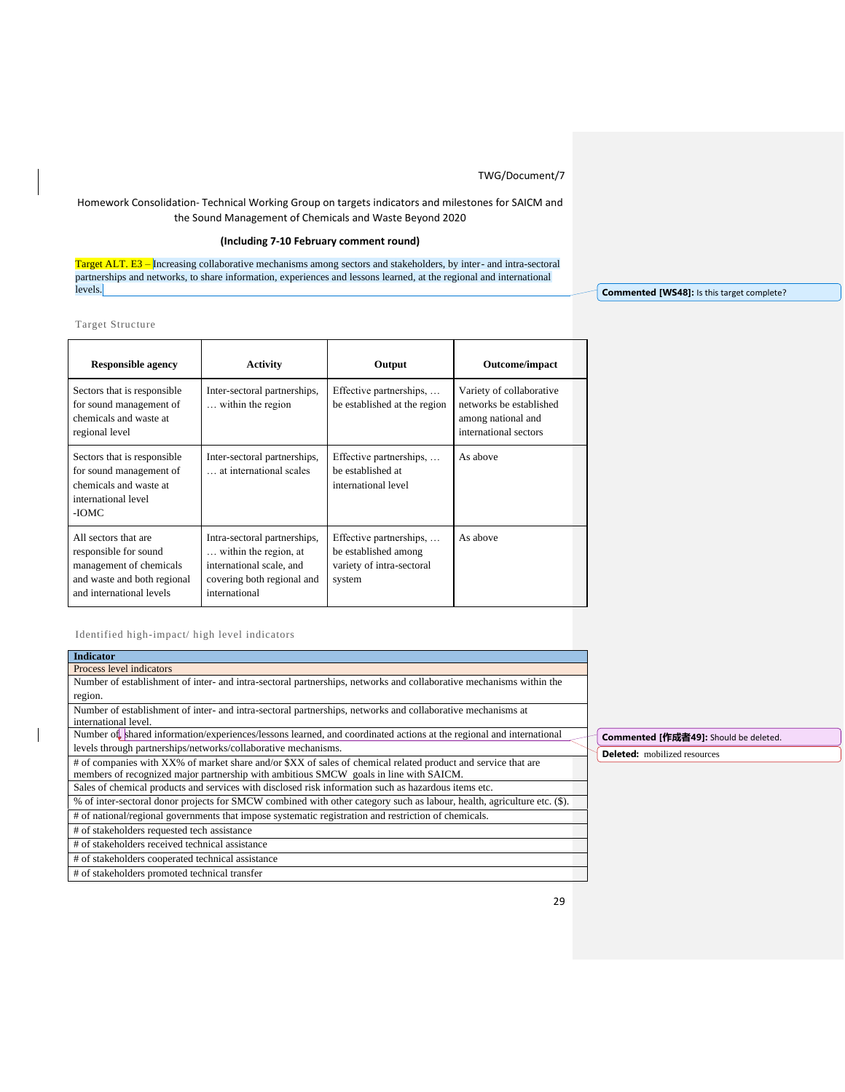## Homework Consolidation- Technical Working Group on targets indicators and milestones for SAICM and the Sound Management of Chemicals and Waste Beyond 2020

## **(Including 7-10 February comment round)**

Target ALT. E3 - Increasing collaborative mechanisms among sectors and stakeholders, by inter- and intra-sectoral partnerships and networks, to share information, experiences and lessons learned, at the regional and international levels.

Target Structure

| <b>Responsible agency</b>                                                                                                           | Activity                                                                                                                         | Output                                                                                 | Outcome/impact                                                                                     |
|-------------------------------------------------------------------------------------------------------------------------------------|----------------------------------------------------------------------------------------------------------------------------------|----------------------------------------------------------------------------------------|----------------------------------------------------------------------------------------------------|
| Sectors that is responsible.<br>for sound management of<br>chemicals and waste at<br>regional level                                 | Inter-sectoral partnerships,<br>within the region                                                                                | Effective partnerships,<br>be established at the region                                | Variety of collaborative<br>networks be established<br>among national and<br>international sectors |
| Sectors that is responsible<br>for sound management of<br>chemicals and waste at<br>international level<br>-IOMC                    | Inter-sectoral partnerships,<br>at international scales                                                                          | Effective partnerships,<br>be established at<br>international level                    | As above                                                                                           |
| All sectors that are<br>responsible for sound<br>management of chemicals<br>and waste and both regional<br>and international levels | Intra-sectoral partnerships,<br>within the region, at<br>international scale, and<br>covering both regional and<br>international | Effective partnerships,<br>be established among<br>variety of intra-sectoral<br>system | As above                                                                                           |

Identified high-impact/ high level indicators

| <b>Indicator</b>                                                                                                        |
|-------------------------------------------------------------------------------------------------------------------------|
| Process level indicators                                                                                                |
| Number of establishment of inter- and intra-sectoral partnerships, networks and collaborative mechanisms within the     |
| region.                                                                                                                 |
| Number of establishment of inter- and intra-sectoral partnerships, networks and collaborative mechanisms at             |
| international level.                                                                                                    |
| Number of shared information/experiences/lessons learned, and coordinated actions at the regional and international     |
| levels through partnerships/networks/collaborative mechanisms.                                                          |
| # of companies with XX% of market share and/or \$XX of sales of chemical related product and service that are           |
| members of recognized major partnership with ambitious SMCW goals in line with SAICM.                                   |
| Sales of chemical products and services with disclosed risk information such as hazardous items etc.                    |
| % of inter-sectoral donor projects for SMCW combined with other category such as labour, health, agriculture etc. (\$). |
| # of national/regional governments that impose systematic registration and restriction of chemicals.                    |
| # of stakeholders requested tech assistance                                                                             |
| # of stakeholders received technical assistance                                                                         |
| # of stakeholders cooperated technical assistance                                                                       |
| # of stakeholders promoted technical transfer                                                                           |

**Commented [WS48]:** Is this target complete?

**Commented [作成者49]:** Should be deleted.

**Deleted:** mobilized resources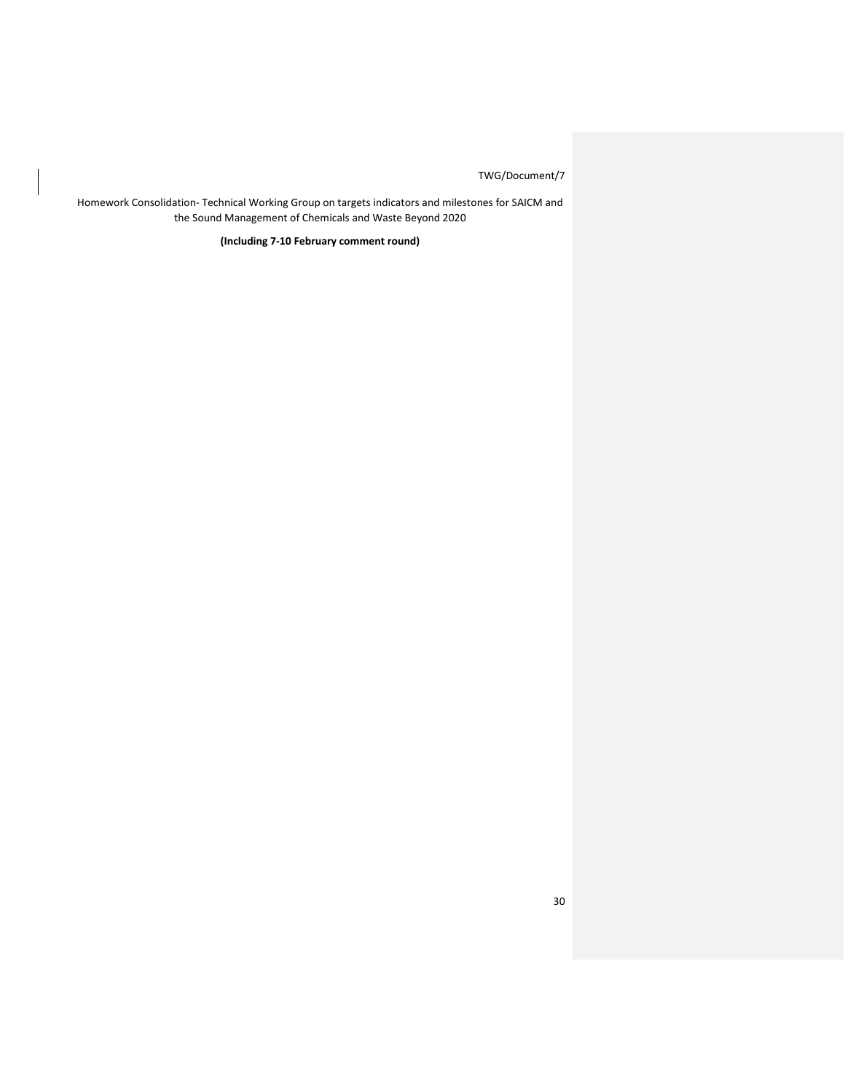Homework Consolidation- Technical Working Group on targets indicators and milestones for SAICM and the Sound Management of Chemicals and Waste Beyond 2020

**(Including 7-10 February comment round)**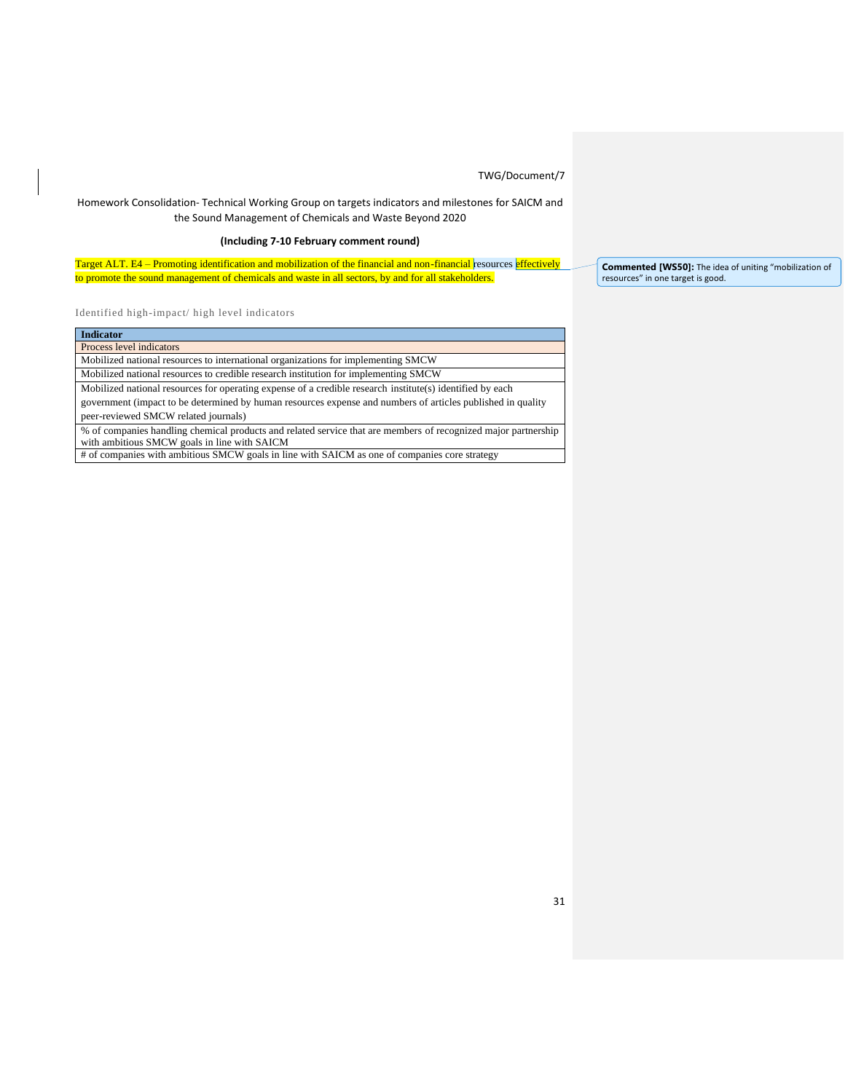## Homework Consolidation- Technical Working Group on targets indicators and milestones for SAICM and the Sound Management of Chemicals and Waste Beyond 2020

## **(Including 7-10 February comment round)**

Target ALT. E4 – Promoting identification and mobilization of the financial and non-financial resources effectively to promote the sound management of chemicals and waste in all sectors, by and for all stakeholders.

Identified high-impact/ high level indicators

| <b>Indicator</b>                                                                                               |
|----------------------------------------------------------------------------------------------------------------|
| Process level indicators                                                                                       |
| Mobilized national resources to international organizations for implementing SMCW                              |
| Mobilized national resources to credible research institution for implementing SMCW                            |
| Mobilized national resources for operating expense of a credible research institute(s) identified by each      |
| government (impact to be determined by human resources expense and numbers of articles published in quality    |
| peer-reviewed SMCW related journals)                                                                           |
| % of companies handling chemical products and related service that are members of recognized major partnership |
| with ambitious SMCW goals in line with SAICM                                                                   |
| # of companies with ambitious SMCW goals in line with SAICM as one of companies core strategy                  |

**Commented [WS50]:** The idea of uniting "mobilization of resources" in one target is good.